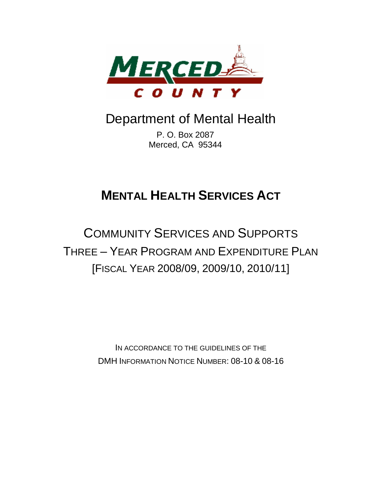

# Department of Mental Health

P. O. Box 2087 Merced, CA 95344

# **MENTAL HEALTH SERVICES ACT**

# COMMUNITY SERVICES AND SUPPORTS THREE – YEAR PROGRAM AND EXPENDITURE PLAN [FISCAL YEAR 2008/09, 2009/10, 2010/11]

IN ACCORDANCE TO THE GUIDELINES OF THE DMH INFORMATION NOTICE NUMBER: 08-10 & 08-16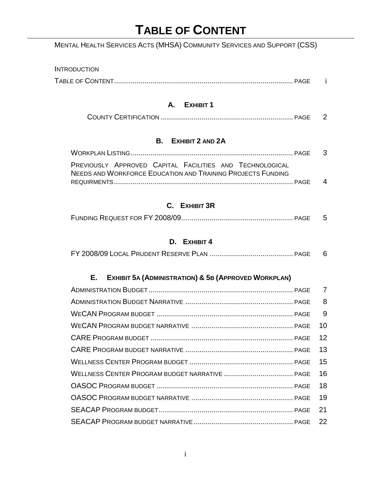# **TABLE OF CONTENT**

# MENTAL HEALTH SERVICES ACTS (MHSA) COMMUNITY SERVICES AND SUPPORT (CSS)

# **INTRODUCTION** TABLE OF CONTENT........................................................................................ PAGE i

## **A. EXHIBIT 1**

|--|--|

# **B. EXHIBIT 2 AND 2A**

| PREVIOUSLY APPROVED CAPITAL FACILITIES AND TECHNOLOGICAL           |  |
|--------------------------------------------------------------------|--|
| <b>NEEDS AND WORKFORCE EDUCATION AND TRAINING PROJECTS FUNDING</b> |  |
|                                                                    |  |

# **C. EXHIBIT 3R**

|--|--|

# **D. EXHIBIT 4**

|--|--|--|

# **E. EXHIBIT 5A (ADMINISTRATION) & 5B (APPROVED WORKPLAN)**

| 8  |
|----|
| -9 |
| 10 |
| 12 |
| 13 |
| 15 |
| 16 |
| 18 |
| 19 |
| 21 |
|    |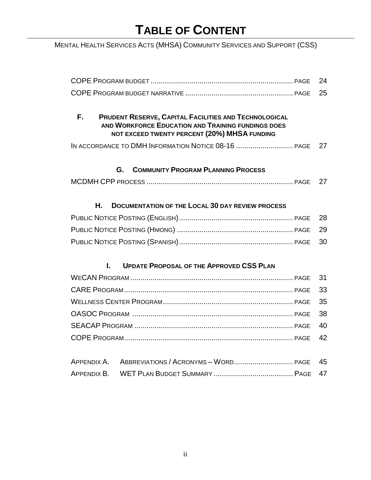# **TABLE OF CONTENT**

MENTAL HEALTH SERVICES ACTS (MHSA) COMMUNITY SERVICES AND SUPPORT (CSS)

|                                                                                                                                                                          | 24 |
|--------------------------------------------------------------------------------------------------------------------------------------------------------------------------|----|
|                                                                                                                                                                          | 25 |
|                                                                                                                                                                          |    |
| F.<br><b>PRUDENT RESERVE, CAPITAL FACILITIES AND TECHNOLOGICAL</b><br>AND WORKFORCE EDUCATION AND TRAINING FUNDINGS DOES<br>NOT EXCEED TWENTY PERCENT (20%) MHSA FUNDING |    |
| IN ACCORDANCE TO DMH INFORMATION NOTICE 08-16  PAGE                                                                                                                      | 27 |
| <b>COMMUNITY PROGRAM PLANNING PROCESS</b><br>G.                                                                                                                          |    |
|                                                                                                                                                                          | 27 |
| Н.<br><b>DOCUMENTATION OF THE LOCAL 30 DAY REVIEW PROCESS</b>                                                                                                            |    |
|                                                                                                                                                                          | 28 |
|                                                                                                                                                                          |    |
|                                                                                                                                                                          | 29 |
|                                                                                                                                                                          | 30 |
| Ī.<br><b>UPDATE PROPOSAL OF THE APPROVED CSS PLAN</b>                                                                                                                    |    |
|                                                                                                                                                                          | 31 |
|                                                                                                                                                                          | 33 |
|                                                                                                                                                                          | 35 |
|                                                                                                                                                                          | 38 |
|                                                                                                                                                                          | 40 |
|                                                                                                                                                                          | 42 |
|                                                                                                                                                                          |    |
| APPENDIX A.                                                                                                                                                              | 45 |
| APPENDIX B.                                                                                                                                                              | 47 |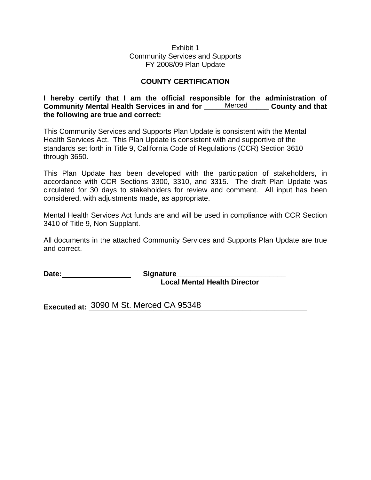### Exhibit 1 Community Services and Supports FY 2008/09 Plan Update

## **COUNTY CERTIFICATION**

**I hereby certify that I am the official responsible for the administration of**  Community Mental Health Services in and for \_\_\_\_\_\_Merced \_\_\_\_\_\_ County and that **the following are true and correct:** 

This Community Services and Supports Plan Update is consistent with the Mental Health Services Act. This Plan Update is consistent with and supportive of the standards set forth in Title 9, California Code of Regulations (CCR) Section 3610 through 3650.

This Plan Update has been developed with the participation of stakeholders, in accordance with CCR Sections 3300, 3310, and 3315. The draft Plan Update was circulated for 30 days to stakeholders for review and comment. All input has been considered, with adjustments made, as appropriate.

Mental Health Services Act funds are and will be used in compliance with CCR Section 3410 of Title 9, Non-Supplant.

All documents in the attached Community Services and Supports Plan Update are true and correct.

Date: **Date:** Signature

 **Local Mental Health Director** 

Executed at: 3090 M St. Merced CA 95348 **and St. 2008** and St. 2010 and St. 2010 and St. 2010 and St. 2010 and St. 2010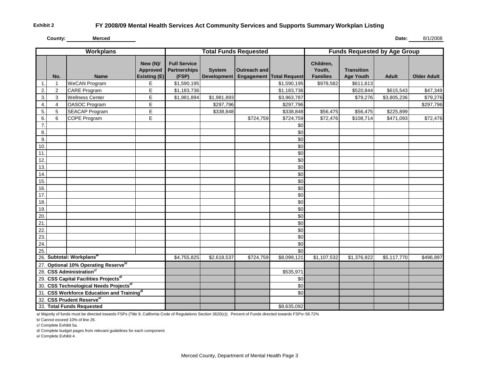**Exhibit 2**

**County:**

**Merced Date:** 8/1/2008

| <b>Workplans</b> |                |                                                    | <b>Total Funds Requested</b>                |                                                     |                                     | <b>Funds Requested by Age Group</b> |                          |                                        |                                       |              |                    |
|------------------|----------------|----------------------------------------------------|---------------------------------------------|-----------------------------------------------------|-------------------------------------|-------------------------------------|--------------------------|----------------------------------------|---------------------------------------|--------------|--------------------|
|                  | No.            | <b>Name</b>                                        | New (N)/<br><b>Approved</b><br>Existing (E) | <b>Full Service</b><br><b>Partnerships</b><br>(FSP) | <b>System</b><br><b>Development</b> | <b>Outreach and</b>                 | Engagement Total Request | Children,<br>Youth,<br><b>Families</b> | <b>Transition</b><br><b>Age Youth</b> | <b>Adult</b> | <b>Older Adult</b> |
| 1.               | $\mathbf{1}$   | <b>WeCAN Program</b>                               | E                                           | \$1,590,195                                         |                                     |                                     | \$1,590,195              | \$978,582                              | \$611,613                             |              |                    |
| 2.               | $\overline{2}$ | <b>CARE Program</b>                                | E                                           | \$1,183,736                                         |                                     |                                     | \$1,183,736              |                                        | \$520,844                             | \$615,543    | \$47,349           |
| 3.               | 3              | <b>Wellness Center</b>                             | E                                           | \$1,981,894                                         | \$1,981,893                         |                                     | \$3,963,787              |                                        | \$79,276                              | \$3,805,236  | \$79,276           |
| 4.               | 4              | OASOC Program                                      | E                                           |                                                     | \$297,796                           |                                     | \$297,796                |                                        |                                       |              | \$297,796          |
| 5.               | 5              | <b>SEACAP Program</b>                              | E                                           |                                                     | \$338,848                           |                                     | \$338,848                | \$56,475                               | \$56,475                              | \$225,899    |                    |
| 6.               | 6              | COPE Program                                       | E                                           |                                                     |                                     | \$724,759                           | \$724,759                | \$72,476                               | \$108,714                             | \$471,093    | \$72,476           |
| 7.               |                |                                                    |                                             |                                                     |                                     |                                     | \$0                      |                                        |                                       |              |                    |
| 8.               |                |                                                    |                                             |                                                     |                                     |                                     | \$0                      |                                        |                                       |              |                    |
| 9.               |                |                                                    |                                             |                                                     |                                     |                                     | \$0                      |                                        |                                       |              |                    |
| 10.              |                |                                                    |                                             |                                                     |                                     |                                     | \$0                      |                                        |                                       |              |                    |
| 11               |                |                                                    |                                             |                                                     |                                     |                                     | \$0                      |                                        |                                       |              |                    |
| 12.              |                |                                                    |                                             |                                                     |                                     |                                     | \$0                      |                                        |                                       |              |                    |
| 13.              |                |                                                    |                                             |                                                     |                                     |                                     | \$0                      |                                        |                                       |              |                    |
| 14.              |                |                                                    |                                             |                                                     |                                     |                                     | \$0                      |                                        |                                       |              |                    |
| 15.              |                |                                                    |                                             |                                                     |                                     |                                     | \$0                      |                                        |                                       |              |                    |
| 16.              |                |                                                    |                                             |                                                     |                                     |                                     | \$0                      |                                        |                                       |              |                    |
| 17.              |                |                                                    |                                             |                                                     |                                     |                                     | \$0                      |                                        |                                       |              |                    |
| 18.              |                |                                                    |                                             |                                                     |                                     |                                     | \$0                      |                                        |                                       |              |                    |
| 19.              |                |                                                    |                                             |                                                     |                                     |                                     | \$0                      |                                        |                                       |              |                    |
| 20.              |                |                                                    |                                             |                                                     |                                     |                                     | \$0                      |                                        |                                       |              |                    |
| 21               |                |                                                    |                                             |                                                     |                                     |                                     | \$0                      |                                        |                                       |              |                    |
| $\overline{22}$  |                |                                                    |                                             |                                                     |                                     |                                     | \$0                      |                                        |                                       |              |                    |
| 23.              |                |                                                    |                                             |                                                     |                                     |                                     | \$0                      |                                        |                                       |              |                    |
| 24.              |                |                                                    |                                             |                                                     |                                     |                                     | \$0                      |                                        |                                       |              |                    |
| 25.              |                |                                                    |                                             |                                                     |                                     |                                     | \$0                      |                                        |                                       |              |                    |
|                  |                | 26. Subtotal: Workplans <sup>ar</sup>              |                                             | \$4,755,825                                         | \$2,618,537                         | $\overline{$}724,759$               | \$8,099,121              | \$1,107,532                            | \$1,376,922                           | \$5,117,770  | \$496,897          |
|                  |                | 27. Optional 10% Operating Reserve <sup>b/</sup>   |                                             |                                                     |                                     |                                     |                          |                                        |                                       |              |                    |
|                  |                | 28. CSS Administration <sup>c/</sup>               |                                             |                                                     |                                     |                                     | \$535,971                |                                        |                                       |              |                    |
|                  |                | 29. CSS Capital Facilities Projects <sup>d/</sup>  |                                             |                                                     |                                     |                                     | \$0                      |                                        |                                       |              |                    |
|                  |                | 30. CSS Technological Needs Projects <sup>d/</sup> |                                             |                                                     |                                     |                                     | \$0                      |                                        |                                       |              |                    |
|                  |                | 31. CSS Workforce Education and Trainingd'         |                                             |                                                     |                                     |                                     | \$0                      |                                        |                                       |              |                    |
|                  |                | 32. CSS Prudent Reserve <sup>e/</sup>              |                                             |                                                     |                                     |                                     |                          |                                        |                                       |              |                    |
|                  |                | 33. Total Funds Requested                          |                                             |                                                     |                                     |                                     | \$8,635,092              |                                        |                                       |              |                    |

a/ Majority of funds must be directed towards FSPs (Title 9, California Code of Regulations Section 3620(c)). Percent of Funds directed towards FSPs=58.72%

b/ Cannot exceed 10% of line 26.

c/ Complete Exhibit 5a.

d/ Complete budget pages from relevant guidelines for each component.

e/ Complete Exhibit 4.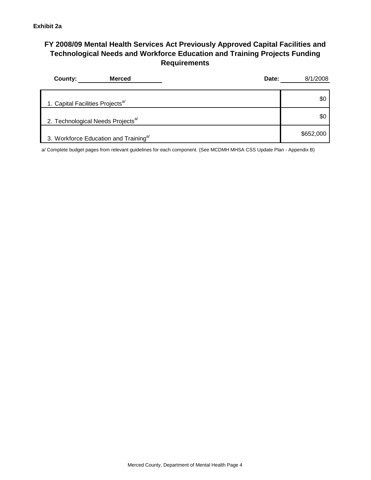## **FY 2008/09 Mental Health Services Act Previously Approved Capital Facilities and Technological Needs and Workforce Education and Training Projects Funding Requirements**

| <b>Merced</b><br>County:                          | Date: | 8/1/2008  |
|---------------------------------------------------|-------|-----------|
| 1. Capital Facilities Projects <sup>a/</sup>      |       | \$0       |
| 2. Technological Needs Projects <sup>a/</sup>     |       | \$C       |
| 3. Workforce Education and Training <sup>a/</sup> |       | \$652,000 |

a/ Complete budget pages from relevant guidelines for each component. (See MCDMH MHSA CSS Update Plan - Appendix B)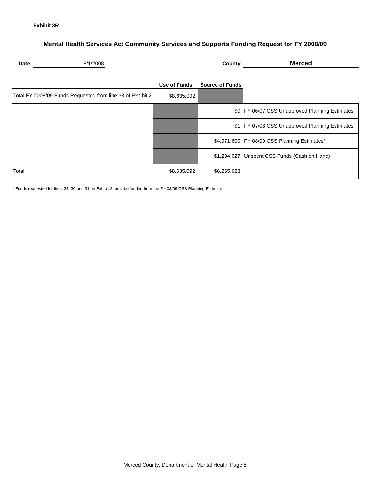## **Mental Health Services Act Community Services and Supports Funding Request for FY 2008/09**

| Date: | 2008<br>یں دب | ∴∩untv | Mercec |
|-------|---------------|--------|--------|
|       |               |        |        |

|                                                            | <b>Use of Funds</b> | Source of Funds |                                                |
|------------------------------------------------------------|---------------------|-----------------|------------------------------------------------|
| Total FY 2008/09 Funds Requested from line 33 of Exhibit 2 | \$8,635,092         |                 |                                                |
|                                                            |                     |                 | \$0 FY 06/07 CSS Unapproved Planning Estimates |
|                                                            |                     | \$1             | FY 07/08 CSS Unapproved Planning Estimates     |
|                                                            |                     |                 | \$4,971,600 FY 08/09 CSS Planning Estimates*   |
|                                                            |                     |                 | \$1,294,027 Unspent CSS Funds (Cash on Hand)   |
| Total                                                      | \$8,635,092         | \$6,265,628     |                                                |

\* Funds requested for lines 29, 30 and 31 on Exhibit 2 must be funded from the FY 08/09 CSS Planning Estimate.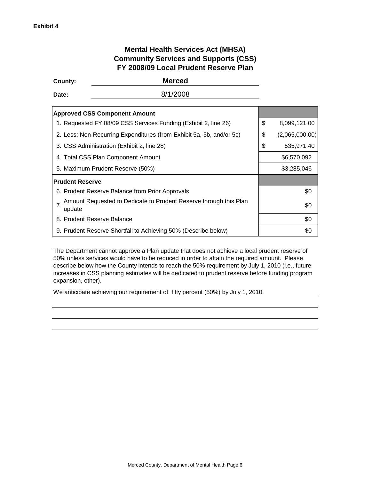## **Mental Health Services Act (MHSA) Community Services and Supports (CSS) FY 2008/09 Local Prudent Reserve Plan**

| County:                                    | <b>Merced</b>                                                        |                      |
|--------------------------------------------|----------------------------------------------------------------------|----------------------|
| Date:                                      | 8/1/2008                                                             |                      |
| <b>Approved CSS Component Amount</b>       |                                                                      |                      |
|                                            | 1. Requested FY 08/09 CSS Services Funding (Exhibit 2, line 26)      | \$<br>8,099,121.00   |
|                                            | 2. Less: Non-Recurring Expenditures (from Exhibit 5a, 5b, and/or 5c) | \$<br>(2,065,000.00) |
| 3. CSS Administration (Exhibit 2, line 28) |                                                                      | \$<br>535,971.40     |
| 4. Total CSS Plan Component Amount         |                                                                      | \$6,570,092          |
| 5. Maximum Prudent Reserve (50%)           |                                                                      | \$3,285,046          |
| <b>Prudent Reserve</b>                     |                                                                      |                      |
|                                            | 6. Prudent Reserve Balance from Prior Approvals                      | \$0                  |
| 7.<br>update                               | Amount Requested to Dedicate to Prudent Reserve through this Plan    | \$0                  |
| 8. Prudent Reserve Balance                 |                                                                      | \$0                  |
|                                            | 9. Prudent Reserve Shortfall to Achieving 50% (Describe below)       | \$0                  |

The Department cannot approve a Plan update that does not achieve a local prudent reserve of 50% unless services would have to be reduced in order to attain the required amount. Please describe below how the County intends to reach the 50% requirement by July 1, 2010 (i.e., future increases in CSS planning estimates will be dedicated to prudent reserve before funding program expansion, other).

We anticipate achieving our requirement of fifty percent (50%) by July 1, 2010.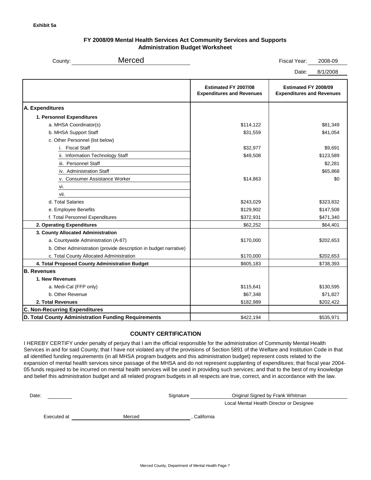#### **FY 2008/09 Mental Health Services Act Community Services and Supports Administration Budget Worksheet**

| County: | Merced | Fiscal Year: | 2008-09 |
|---------|--------|--------------|---------|
|         |        |              |         |

Date: 8/1/2008

|                                                                   | Estimated FY 2007/08<br><b>Expenditures and Revenues</b> | Estimated FY 2008/09<br><b>Expenditures and Revenues</b> |
|-------------------------------------------------------------------|----------------------------------------------------------|----------------------------------------------------------|
| A. Expenditures                                                   |                                                          |                                                          |
| 1. Personnel Expenditures                                         |                                                          |                                                          |
| a. MHSA Coordinator(s)                                            | \$114,122                                                | \$81,349                                                 |
| b. MHSA Support Staff                                             | \$31,559                                                 | \$41,054                                                 |
| c. Other Personnel (list below)                                   |                                                          |                                                          |
| i. Fiscal Staff                                                   | \$32,977                                                 | \$9,691                                                  |
| ii. Information Technology Staff                                  | \$49,508                                                 | \$123,589                                                |
| iii. Personnel Staff                                              |                                                          | \$2,281                                                  |
| iv. Administration Staff                                          |                                                          | \$65,868                                                 |
| v. Consumer Assistance Worker                                     | \$14,863                                                 | \$0                                                      |
| vi.                                                               |                                                          |                                                          |
| vii.                                                              |                                                          |                                                          |
| d. Total Salaries                                                 | \$243,029                                                | \$323,832                                                |
| e. Employee Benefits                                              | \$129,902                                                | \$147,508                                                |
| f. Total Personnel Expenditures                                   | \$372,931                                                | \$471,340                                                |
| 2. Operating Expenditures                                         | \$62,252                                                 | \$64,401                                                 |
| 3. County Allocated Administration                                |                                                          |                                                          |
| a. Countywide Administration (A-87)                               | \$170,000                                                | \$202,653                                                |
| b. Other Administration (provide description in budget narrative) |                                                          |                                                          |
| c. Total County Allocated Administration                          | \$170,000                                                | \$202,653                                                |
| 4. Total Proposed County Administration Budget                    | \$605,183                                                | \$738,393                                                |
| <b>B. Revenues</b>                                                |                                                          |                                                          |
| 1. New Revenues                                                   |                                                          |                                                          |
| a. Medi-Cal (FFP only)                                            | \$115,641                                                | \$130,595                                                |
| b. Other Revenue                                                  | \$67,348                                                 | \$71,827                                                 |
| 2. Total Revenues                                                 | \$182,989                                                | \$202,422                                                |
| <b>C. Non-Recurring Expenditures</b>                              |                                                          |                                                          |
| D. Total County Administration Funding Requirements               | \$422,194                                                | \$535,971                                                |
|                                                                   |                                                          |                                                          |

#### **COUNTY CERTIFICATION**

I HEREBY CERTIFY under penalty of perjury that I am the official responsible for the administration of Community Mental Health Services in and for said County; that I have not violated any of the provisions of Section 5891 of the Welfare and Institution Code in that all identified funding requirements (in all MHSA program budgets and this administration budget) represent costs related to the expansion of mental health services since passage of the MHSA and do not represent supplanting of expenditures; that fiscal year 2004- 05 funds required to be incurred on mental health services will be used in providing such services; and that to the best of my knowledge and belief this administration budget and all related program budgets in all respects are true, correct, and in accordance with the law.

Date:

Signature

Original Signed by Frank Whitman

Local Mental Health Director or Designee

Executed at

Merced , California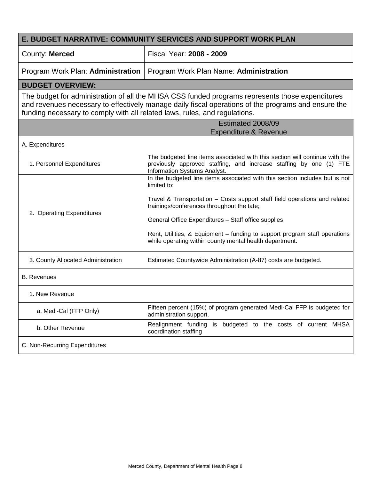| <b>E. BUDGET NARRATIVE: COMMUNITY SERVICES AND SUPPORT WORK PLAN</b>       |                                                                                                                                                                                                        |  |  |
|----------------------------------------------------------------------------|--------------------------------------------------------------------------------------------------------------------------------------------------------------------------------------------------------|--|--|
| County: Merced                                                             | Fiscal Year: 2008 - 2009                                                                                                                                                                               |  |  |
| Program Work Plan: Administration                                          | Program Work Plan Name: Administration                                                                                                                                                                 |  |  |
| <b>BUDGET OVERVIEW:</b>                                                    |                                                                                                                                                                                                        |  |  |
| funding necessary to comply with all related laws, rules, and regulations. | The budget for administration of all the MHSA CSS funded programs represents those expenditures<br>and revenues necessary to effectively manage daily fiscal operations of the programs and ensure the |  |  |
|                                                                            | Estimated 2008/09<br><b>Expenditure &amp; Revenue</b>                                                                                                                                                  |  |  |
| A. Expenditures                                                            |                                                                                                                                                                                                        |  |  |
| 1. Personnel Expenditures                                                  | The budgeted line items associated with this section will continue with the<br>previously approved staffing, and increase staffing by one (1) FTE<br>Information Systems Analyst.                      |  |  |
|                                                                            | In the budgeted line items associated with this section includes but is not<br>limited to:                                                                                                             |  |  |
| 2. Operating Expenditures                                                  | Travel & Transportation - Costs support staff field operations and related<br>trainings/conferences throughout the tate;                                                                               |  |  |
|                                                                            | General Office Expenditures - Staff office supplies                                                                                                                                                    |  |  |
|                                                                            | Rent, Utilities, & Equipment - funding to support program staff operations<br>while operating within county mental health department.                                                                  |  |  |
| 3. County Allocated Administration                                         | Estimated Countywide Administration (A-87) costs are budgeted.                                                                                                                                         |  |  |
| <b>B.</b> Revenues                                                         |                                                                                                                                                                                                        |  |  |
| 1. New Revenue                                                             |                                                                                                                                                                                                        |  |  |
| a. Medi-Cal (FFP Only)                                                     | Fifteen percent (15%) of program generated Medi-Cal FFP is budgeted for<br>administration support.                                                                                                     |  |  |
| b. Other Revenue                                                           | Realignment funding is budgeted to the costs of current MHSA<br>coordination staffing                                                                                                                  |  |  |
| C. Non-Recurring Expenditures                                              |                                                                                                                                                                                                        |  |  |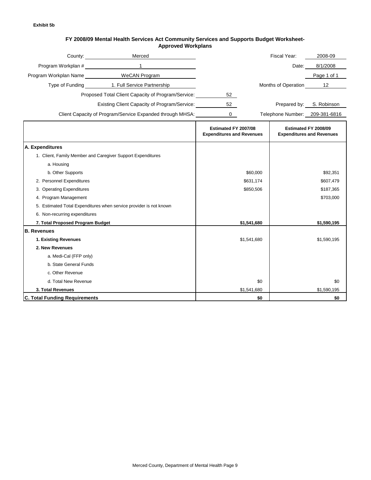#### **FY 2008/09 Mental Health Services Act Community Services and Supports Budget Worksheet-Approved Workplans**

|                                      | Merced<br>County: the country of the country of the country of the country of the country of the country of the country of the country of the country of the country of the country of the country of the country of the country of the |                                                          |             | Fiscal Year:                   | 2008-09                                                  |
|--------------------------------------|-----------------------------------------------------------------------------------------------------------------------------------------------------------------------------------------------------------------------------------------|----------------------------------------------------------|-------------|--------------------------------|----------------------------------------------------------|
| Program Workplan #                   | $\mathbf{1}$                                                                                                                                                                                                                            |                                                          |             | Date:                          | 8/1/2008                                                 |
|                                      | Program Workplan Name WeCAN Program                                                                                                                                                                                                     |                                                          |             |                                | Page 1 of 1                                              |
|                                      | Type of Funding 1. Full Service Partnership                                                                                                                                                                                             |                                                          |             | Months of Operation            | 12 <sup>°</sup>                                          |
|                                      | Proposed Total Client Capacity of Program/Service:                                                                                                                                                                                      | 52                                                       |             |                                |                                                          |
|                                      | Existing Client Capacity of Program/Service:                                                                                                                                                                                            | 52                                                       |             | Prepared by:                   | S. Robinson                                              |
|                                      |                                                                                                                                                                                                                                         |                                                          |             |                                |                                                          |
|                                      | Client Capacity of Program/Service Expanded through MHSA:                                                                                                                                                                               | $\mathbf 0$                                              |             | Telephone Number: 209-381-6816 |                                                          |
|                                      |                                                                                                                                                                                                                                         | Estimated FY 2007/08<br><b>Expenditures and Revenues</b> |             |                                | Estimated FY 2008/09<br><b>Expenditures and Revenues</b> |
| A. Expenditures                      |                                                                                                                                                                                                                                         |                                                          |             |                                |                                                          |
|                                      | 1. Client, Family Member and Caregiver Support Expenditures                                                                                                                                                                             |                                                          |             |                                |                                                          |
| a. Housing                           |                                                                                                                                                                                                                                         |                                                          |             |                                |                                                          |
| b. Other Supports                    |                                                                                                                                                                                                                                         |                                                          | \$60,000    |                                | \$92,351                                                 |
| 2. Personnel Expenditures            |                                                                                                                                                                                                                                         |                                                          | \$631,174   |                                | \$607,479                                                |
| 3. Operating Expenditures            |                                                                                                                                                                                                                                         | \$850,506                                                |             | \$187,365                      |                                                          |
| 4. Program Management                |                                                                                                                                                                                                                                         |                                                          |             | \$703,000                      |                                                          |
|                                      | 5. Estimated Total Expenditures when service provider is not known                                                                                                                                                                      |                                                          |             |                                |                                                          |
| 6. Non-recurring expenditures        |                                                                                                                                                                                                                                         |                                                          |             |                                |                                                          |
| 7. Total Proposed Program Budget     |                                                                                                                                                                                                                                         |                                                          | \$1,541,680 |                                | \$1,590,195                                              |
| <b>B.</b> Revenues                   |                                                                                                                                                                                                                                         |                                                          |             |                                |                                                          |
| 1. Existing Revenues                 |                                                                                                                                                                                                                                         |                                                          | \$1,541,680 |                                | \$1,590,195                                              |
| 2. New Revenues                      |                                                                                                                                                                                                                                         |                                                          |             |                                |                                                          |
| a. Medi-Cal (FFP only)               |                                                                                                                                                                                                                                         |                                                          |             |                                |                                                          |
| b. State General Funds               |                                                                                                                                                                                                                                         |                                                          |             |                                |                                                          |
| c. Other Revenue                     |                                                                                                                                                                                                                                         |                                                          |             |                                |                                                          |
| d. Total New Revenue                 |                                                                                                                                                                                                                                         |                                                          | \$0         |                                | \$0                                                      |
| 3. Total Revenues                    |                                                                                                                                                                                                                                         |                                                          | \$1,541,680 |                                | \$1,590,195                                              |
| <b>C. Total Funding Requirements</b> |                                                                                                                                                                                                                                         |                                                          | \$0         |                                | \$0                                                      |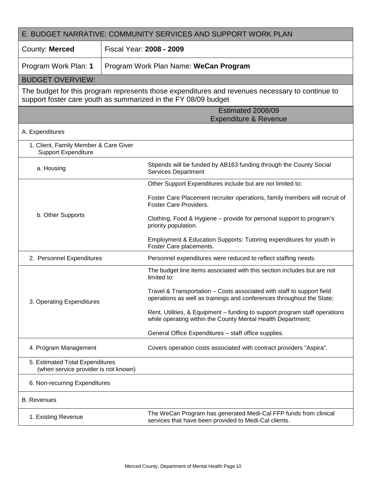| E. BUDGET NARRATIVE: COMMUNITY SERVICES AND SUPPORT WORK PLAN           |                                                                                                                                                                   |  |  |
|-------------------------------------------------------------------------|-------------------------------------------------------------------------------------------------------------------------------------------------------------------|--|--|
| County: Merced                                                          | Fiscal Year: 2008 - 2009                                                                                                                                          |  |  |
| Program Work Plan: 1                                                    | Program Work Plan Name: WeCan Program                                                                                                                             |  |  |
| <b>BUDGET OVERVIEW:</b>                                                 |                                                                                                                                                                   |  |  |
|                                                                         | The budget for this program represents those expenditures and revenues necessary to continue to<br>support foster care youth as summarized in the FY 08/09 budget |  |  |
|                                                                         | Estimated 2008/09<br><b>Expenditure &amp; Revenue</b>                                                                                                             |  |  |
| A. Expenditures                                                         |                                                                                                                                                                   |  |  |
| 1. Client, Family Member & Care Giver<br><b>Support Expenditure</b>     |                                                                                                                                                                   |  |  |
| a. Housing                                                              | Stipends will be funded by AB163 funding through the County Social<br><b>Services Department</b>                                                                  |  |  |
|                                                                         | Other Support Expenditures include but are not limited to:                                                                                                        |  |  |
|                                                                         | Foster Care Placement recruiter operations, family members will recruit of<br><b>Foster Care Providers.</b>                                                       |  |  |
| b. Other Supports                                                       | Clothing, Food & Hygiene – provide for personal support to program's<br>priority population.                                                                      |  |  |
|                                                                         | Employment & Education Supports: Tutoring expenditures for youth in<br>Foster Care placements.                                                                    |  |  |
| 2. Personnel Expenditures                                               | Personnel expenditures were reduced to reflect staffing needs.                                                                                                    |  |  |
|                                                                         | The budget line items associated with this section includes but are not<br>limited to:                                                                            |  |  |
| 3. Operating Expenditures                                               | Travel & Transportation - Costs associated with staff to support field<br>operations as well as trainings and conferences throughout the State;                   |  |  |
|                                                                         | Rent, Utilities, & Equipment – funding to support program staff operations<br>while operating within the County Mental Health Department;                         |  |  |
|                                                                         | General Office Expenditures - staff office supplies.                                                                                                              |  |  |
| 4. Program Management                                                   | Covers operation costs associated with contract providers "Aspira".                                                                                               |  |  |
| 5. Estimated Total Expenditures<br>(when service provider is not known) |                                                                                                                                                                   |  |  |
| 6. Non-recurring Expenditures                                           |                                                                                                                                                                   |  |  |
| <b>B.</b> Revenues                                                      |                                                                                                                                                                   |  |  |
| 1. Existing Revenue                                                     | The WeCan Program has generated Medi-Cal FFP funds from clinical<br>services that have been provided to Medi-Cal clients.                                         |  |  |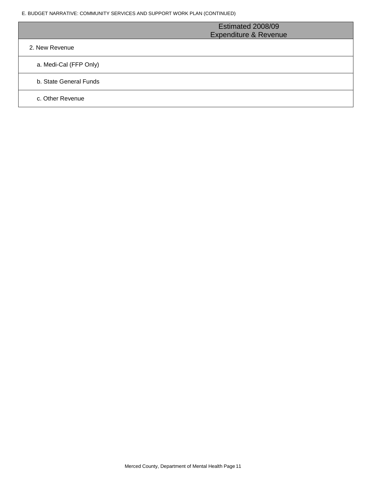E. BUDGET NARRATIVE: COMMUNITY SERVICES AND SUPPORT WORK PLAN (CONTINUED)

|                        | Estimated 2008/09<br><b>Expenditure &amp; Revenue</b> |
|------------------------|-------------------------------------------------------|
| 2. New Revenue         |                                                       |
| a. Medi-Cal (FFP Only) |                                                       |
| b. State General Funds |                                                       |
| c. Other Revenue       |                                                       |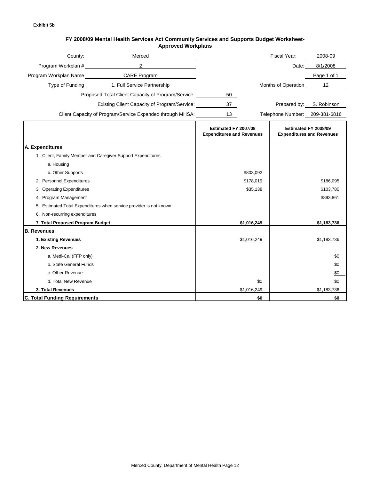#### **FY 2008/09 Mental Health Services Act Community Services and Supports Budget Worksheet-Approved Workplans**

|                                      | Merced<br>County: the country of the country of the country of the country of the country of the country of the country of the country of the country of the country of the country of the country of the country of the country of the |                                                          |                                | Fiscal Year:        | 2008-09                                                  |
|--------------------------------------|-----------------------------------------------------------------------------------------------------------------------------------------------------------------------------------------------------------------------------------------|----------------------------------------------------------|--------------------------------|---------------------|----------------------------------------------------------|
| Program Workplan #                   | $\overline{2}$                                                                                                                                                                                                                          |                                                          |                                | Date:               | 8/1/2008                                                 |
|                                      | Program Workplan Name CARE Program                                                                                                                                                                                                      |                                                          |                                |                     | Page 1 of 1                                              |
|                                      | Type of Funding 1. Full Service Partnership                                                                                                                                                                                             |                                                          |                                | Months of Operation | 12                                                       |
|                                      | Proposed Total Client Capacity of Program/Service:                                                                                                                                                                                      | 50                                                       |                                |                     |                                                          |
|                                      | Existing Client Capacity of Program/Service:                                                                                                                                                                                            | 37                                                       |                                | Prepared by:        | S. Robinson                                              |
|                                      | Client Capacity of Program/Service Expanded through MHSA:                                                                                                                                                                               | 13                                                       | Telephone Number: 209-381-6816 |                     |                                                          |
|                                      |                                                                                                                                                                                                                                         |                                                          |                                |                     |                                                          |
|                                      |                                                                                                                                                                                                                                         | Estimated FY 2007/08<br><b>Expenditures and Revenues</b> |                                |                     | Estimated FY 2008/09<br><b>Expenditures and Revenues</b> |
| A. Expenditures                      |                                                                                                                                                                                                                                         |                                                          |                                |                     |                                                          |
|                                      | 1. Client, Family Member and Caregiver Support Expenditures                                                                                                                                                                             |                                                          |                                |                     |                                                          |
| a. Housing                           |                                                                                                                                                                                                                                         |                                                          |                                |                     |                                                          |
| b. Other Supports                    |                                                                                                                                                                                                                                         |                                                          | \$803,092                      |                     |                                                          |
| 2. Personnel Expenditures            |                                                                                                                                                                                                                                         |                                                          | \$178,019                      |                     | \$186,095                                                |
| 3. Operating Expenditures            |                                                                                                                                                                                                                                         |                                                          | \$35,138                       |                     | \$103,780                                                |
| 4. Program Management                |                                                                                                                                                                                                                                         |                                                          |                                |                     | \$893,861                                                |
|                                      | 5. Estimated Total Expenditures when service provider is not known                                                                                                                                                                      |                                                          |                                |                     |                                                          |
| 6. Non-recurring expenditures        |                                                                                                                                                                                                                                         |                                                          |                                |                     |                                                          |
| 7. Total Proposed Program Budget     |                                                                                                                                                                                                                                         |                                                          | \$1,016,249                    |                     | \$1,183,736                                              |
| <b>B.</b> Revenues                   |                                                                                                                                                                                                                                         |                                                          |                                |                     |                                                          |
| 1. Existing Revenues                 |                                                                                                                                                                                                                                         |                                                          | \$1,016,249                    |                     | \$1,183,736                                              |
| 2. New Revenues                      |                                                                                                                                                                                                                                         |                                                          |                                |                     |                                                          |
| a. Medi-Cal (FFP only)               |                                                                                                                                                                                                                                         |                                                          |                                |                     | \$0                                                      |
| b. State General Funds               |                                                                                                                                                                                                                                         |                                                          |                                |                     | \$0                                                      |
| c. Other Revenue                     |                                                                                                                                                                                                                                         |                                                          |                                |                     | \$0                                                      |
| d. Total New Revenue                 |                                                                                                                                                                                                                                         |                                                          | \$0                            |                     | \$0                                                      |
| 3. Total Revenues                    |                                                                                                                                                                                                                                         |                                                          | \$1,016,249                    |                     | \$1,183,736                                              |
| <b>C. Total Funding Requirements</b> |                                                                                                                                                                                                                                         |                                                          | \$0                            |                     | \$0                                                      |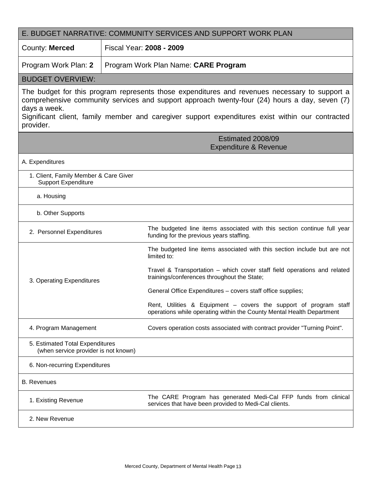| E. BUDGET NARRATIVE: COMMUNITY SERVICES AND SUPPORT WORK PLAN                                                                                                                                                                                                                                                                   |                                                                                                                                            |  |  |
|---------------------------------------------------------------------------------------------------------------------------------------------------------------------------------------------------------------------------------------------------------------------------------------------------------------------------------|--------------------------------------------------------------------------------------------------------------------------------------------|--|--|
| County: Merced                                                                                                                                                                                                                                                                                                                  | Fiscal Year: 2008 - 2009                                                                                                                   |  |  |
| Program Work Plan: 2                                                                                                                                                                                                                                                                                                            | Program Work Plan Name: CARE Program                                                                                                       |  |  |
| <b>BUDGET OVERVIEW:</b>                                                                                                                                                                                                                                                                                                         |                                                                                                                                            |  |  |
| The budget for this program represents those expenditures and revenues necessary to support a<br>comprehensive community services and support approach twenty-four (24) hours a day, seven (7)<br>days a week.<br>Significant client, family member and caregiver support expenditures exist within our contracted<br>provider. |                                                                                                                                            |  |  |
|                                                                                                                                                                                                                                                                                                                                 | Estimated 2008/09<br><b>Expenditure &amp; Revenue</b>                                                                                      |  |  |
| A. Expenditures                                                                                                                                                                                                                                                                                                                 |                                                                                                                                            |  |  |
| 1. Client, Family Member & Care Giver<br><b>Support Expenditure</b>                                                                                                                                                                                                                                                             |                                                                                                                                            |  |  |
| a. Housing                                                                                                                                                                                                                                                                                                                      |                                                                                                                                            |  |  |
| b. Other Supports                                                                                                                                                                                                                                                                                                               |                                                                                                                                            |  |  |
| 2. Personnel Expenditures                                                                                                                                                                                                                                                                                                       | The budgeted line items associated with this section continue full year<br>funding for the previous years staffing.                        |  |  |
|                                                                                                                                                                                                                                                                                                                                 | The budgeted line items associated with this section include but are not<br>limited to:                                                    |  |  |
| 3. Operating Expenditures                                                                                                                                                                                                                                                                                                       | Travel & Transportation - which cover staff field operations and related<br>trainings/conferences throughout the State;                    |  |  |
|                                                                                                                                                                                                                                                                                                                                 | General Office Expenditures - covers staff office supplies;                                                                                |  |  |
|                                                                                                                                                                                                                                                                                                                                 | Rent, Utilities & Equipment - covers the support of program staff<br>operations while operating within the County Mental Health Department |  |  |
| 4. Program Management                                                                                                                                                                                                                                                                                                           | Covers operation costs associated with contract provider "Turning Point".                                                                  |  |  |
| 5. Estimated Total Expenditures<br>(when service provider is not known)                                                                                                                                                                                                                                                         |                                                                                                                                            |  |  |
| 6. Non-recurring Expenditures                                                                                                                                                                                                                                                                                                   |                                                                                                                                            |  |  |
| <b>B.</b> Revenues                                                                                                                                                                                                                                                                                                              |                                                                                                                                            |  |  |
| 1. Existing Revenue                                                                                                                                                                                                                                                                                                             | The CARE Program has generated Medi-Cal FFP funds from clinical<br>services that have been provided to Medi-Cal clients.                   |  |  |
| 2. New Revenue                                                                                                                                                                                                                                                                                                                  |                                                                                                                                            |  |  |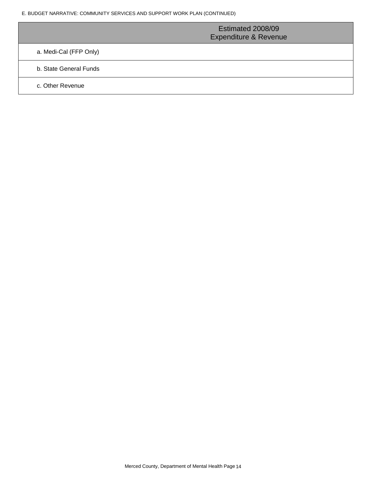|                        | Estimated 2008/09<br><b>Expenditure &amp; Revenue</b> |
|------------------------|-------------------------------------------------------|
| a. Medi-Cal (FFP Only) |                                                       |
| b. State General Funds |                                                       |
| c. Other Revenue       |                                                       |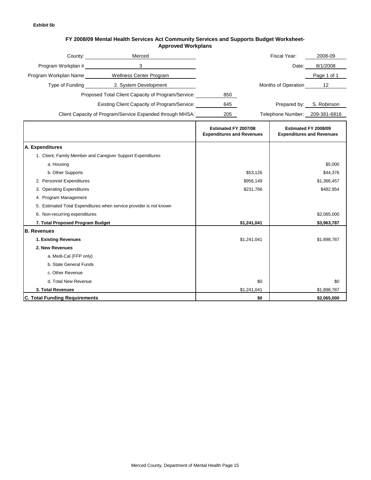#### **FY 2008/09 Mental Health Services Act Community Services and Supports Budget Worksheet-Approved Workplans**

|                                      | ovcu mornpiuno                                                     |                                                          |             |                                |                                                          |
|--------------------------------------|--------------------------------------------------------------------|----------------------------------------------------------|-------------|--------------------------------|----------------------------------------------------------|
|                                      | Merced<br>County: <b>Example 20</b>                                |                                                          |             | Fiscal Year:                   | 2008-09                                                  |
| Program Workplan #                   | 3                                                                  |                                                          |             | Date:                          | 8/1/2008                                                 |
| Program Workplan Name                | Wellness Center Program                                            |                                                          |             |                                | Page 1 of 1                                              |
| Type of Funding                      | 2. System Development                                              |                                                          |             | Months of Operation            | 12                                                       |
|                                      | Proposed Total Client Capacity of Program/Service:                 | 850                                                      |             |                                |                                                          |
|                                      | Existing Client Capacity of Program/Service:                       | 645                                                      |             | Prepared by:                   | S. Robinson                                              |
|                                      |                                                                    |                                                          |             |                                |                                                          |
|                                      | Client Capacity of Program/Service Expanded through MHSA:          | 205                                                      |             | Telephone Number: 209-381-6816 |                                                          |
|                                      |                                                                    | Estimated FY 2007/08<br><b>Expenditures and Revenues</b> |             |                                | Estimated FY 2008/09<br><b>Expenditures and Revenues</b> |
| A. Expenditures                      |                                                                    |                                                          |             |                                |                                                          |
|                                      | 1. Client, Family Member and Caregiver Support Expenditures        |                                                          |             |                                |                                                          |
| a. Housing                           |                                                                    |                                                          |             |                                | \$5,000                                                  |
| b. Other Supports                    |                                                                    |                                                          | \$53,126    |                                | \$44,376                                                 |
| 2. Personnel Expenditures            |                                                                    |                                                          | \$956,149   |                                | \$1,366,457                                              |
| 3. Operating Expenditures            |                                                                    |                                                          | \$231.766   |                                | \$482,954                                                |
| 4. Program Management                |                                                                    |                                                          |             |                                |                                                          |
|                                      | 5. Estimated Total Expenditures when service provider is not known |                                                          |             |                                |                                                          |
| 6. Non-recurring expenditures        |                                                                    |                                                          |             |                                | \$2,065,000                                              |
| 7. Total Proposed Program Budget     |                                                                    |                                                          | \$1,241,041 |                                | \$3,963,787                                              |
| <b>B.</b> Revenues                   |                                                                    |                                                          |             |                                |                                                          |
| 1. Existing Revenues                 |                                                                    |                                                          | \$1,241,041 |                                | \$1,898,787                                              |
| 2. New Revenues                      |                                                                    |                                                          |             |                                |                                                          |
| a. Medi-Cal (FFP only)               |                                                                    |                                                          |             |                                |                                                          |
| b. State General Funds               |                                                                    |                                                          |             |                                |                                                          |
| c. Other Revenue                     |                                                                    |                                                          |             |                                |                                                          |
| d. Total New Revenue                 |                                                                    |                                                          | \$0         |                                | \$0                                                      |
| 3. Total Revenues                    |                                                                    |                                                          | \$1,241,041 |                                | \$1,898,787                                              |
| <b>C. Total Funding Requirements</b> |                                                                    |                                                          | \$0         |                                | \$2,065,000                                              |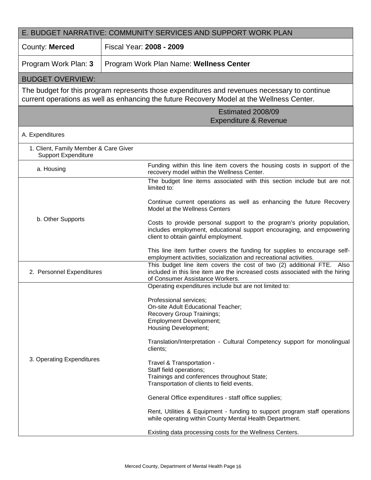| E. BUDGET NARRATIVE: COMMUNITY SERVICES AND SUPPORT WORK PLAN       |                                                                                                                                                                                           |  |  |  |
|---------------------------------------------------------------------|-------------------------------------------------------------------------------------------------------------------------------------------------------------------------------------------|--|--|--|
| County: Merced                                                      | Fiscal Year: 2008 - 2009                                                                                                                                                                  |  |  |  |
| Program Work Plan: 3                                                | Program Work Plan Name: Wellness Center                                                                                                                                                   |  |  |  |
| <b>BUDGET OVERVIEW:</b>                                             |                                                                                                                                                                                           |  |  |  |
|                                                                     | The budget for this program represents those expenditures and revenues necessary to continue<br>current operations as well as enhancing the future Recovery Model at the Wellness Center. |  |  |  |
|                                                                     | Estimated 2008/09<br><b>Expenditure &amp; Revenue</b>                                                                                                                                     |  |  |  |
| A. Expenditures                                                     |                                                                                                                                                                                           |  |  |  |
| 1. Client, Family Member & Care Giver<br><b>Support Expenditure</b> |                                                                                                                                                                                           |  |  |  |
| a. Housing                                                          | Funding within this line item covers the housing costs in support of the<br>recovery model within the Wellness Center.                                                                    |  |  |  |
|                                                                     | The budget line items associated with this section include but are not<br>limited to:                                                                                                     |  |  |  |
|                                                                     | Continue current operations as well as enhancing the future Recovery<br>Model at the Wellness Centers                                                                                     |  |  |  |
| b. Other Supports                                                   | Costs to provide personal support to the program's priority population,<br>includes employment, educational support encouraging, and empowering<br>client to obtain gainful employment.   |  |  |  |
|                                                                     | This line item further covers the funding for supplies to encourage self-<br>employment activities, socialization and recreational activities.                                            |  |  |  |
| 2. Personnel Expenditures                                           | This budget line item covers the cost of two (2) additional FTE. Also<br>included in this line item are the increased costs associated with the hiring<br>of Consumer Assistance Workers. |  |  |  |
|                                                                     | Operating expenditures include but are not limited to:                                                                                                                                    |  |  |  |
|                                                                     | Professional services;<br>On-site Adult Educational Teacher;<br>Recovery Group Trainings;<br><b>Employment Development;</b>                                                               |  |  |  |
|                                                                     | <b>Housing Development;</b><br>Translation/Interpretation - Cultural Competency support for monolingual<br>clients;                                                                       |  |  |  |
| 3. Operating Expenditures                                           | Travel & Transportation -<br>Staff field operations;<br>Trainings and conferences throughout State;<br>Transportation of clients to field events.                                         |  |  |  |
|                                                                     | General Office expenditures - staff office supplies;                                                                                                                                      |  |  |  |
|                                                                     | Rent, Utilities & Equipment - funding to support program staff operations<br>while operating within County Mental Health Department.                                                      |  |  |  |
|                                                                     | Existing data processing costs for the Wellness Centers.                                                                                                                                  |  |  |  |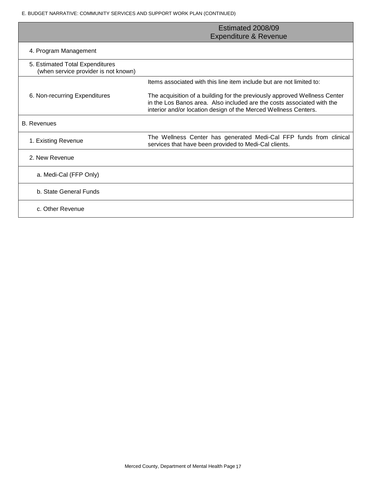E. BUDGET NARRATIVE: COMMUNITY SERVICES AND SUPPORT WORK PLAN (CONTINUED)

|                                                                         | Estimated 2008/09<br><b>Expenditure &amp; Revenue</b>                                                                                                                                                                  |
|-------------------------------------------------------------------------|------------------------------------------------------------------------------------------------------------------------------------------------------------------------------------------------------------------------|
| 4. Program Management                                                   |                                                                                                                                                                                                                        |
| 5. Estimated Total Expenditures<br>(when service provider is not known) |                                                                                                                                                                                                                        |
|                                                                         | Items associated with this line item include but are not limited to:                                                                                                                                                   |
| 6. Non-recurring Expenditures                                           | The acquisition of a building for the previously approved Wellness Center<br>in the Los Banos area. Also included are the costs associated with the<br>interior and/or location design of the Merced Wellness Centers. |
| <b>B.</b> Revenues                                                      |                                                                                                                                                                                                                        |
| 1. Existing Revenue                                                     | The Wellness Center has generated Medi-Cal FFP funds from clinical<br>services that have been provided to Medi-Cal clients.                                                                                            |
| 2. New Revenue                                                          |                                                                                                                                                                                                                        |
| a. Medi-Cal (FFP Only)                                                  |                                                                                                                                                                                                                        |
| b. State General Funds                                                  |                                                                                                                                                                                                                        |
| c. Other Revenue                                                        |                                                                                                                                                                                                                        |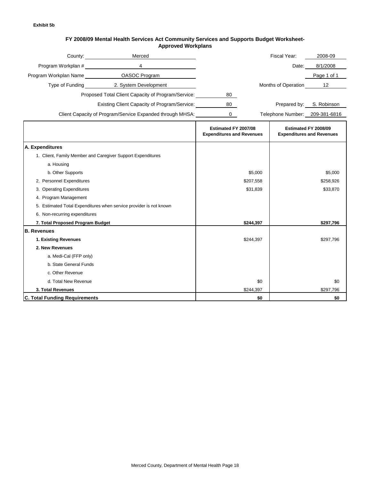#### **FY 2008/09 Mental Health Services Act Community Services and Supports Budget Worksheet-Approved Workplans**

|                                      | Merced<br>County: the country of the country of the country of the country of the country of the country of the country of the country of the country of the country of the country of the country of the country of the country of the |                                                          |           | Fiscal Year:                   | 2008-09                                                  |
|--------------------------------------|-----------------------------------------------------------------------------------------------------------------------------------------------------------------------------------------------------------------------------------------|----------------------------------------------------------|-----------|--------------------------------|----------------------------------------------------------|
| Program Workplan #                   | $\overline{4}$                                                                                                                                                                                                                          |                                                          |           | Date:                          | 8/1/2008                                                 |
|                                      |                                                                                                                                                                                                                                         |                                                          |           |                                | Page 1 of 1                                              |
|                                      | Type of Funding 2. System Development                                                                                                                                                                                                   |                                                          |           | Months of Operation            | 12                                                       |
|                                      | Proposed Total Client Capacity of Program/Service:                                                                                                                                                                                      | 80                                                       |           |                                |                                                          |
|                                      | Existing Client Capacity of Program/Service:                                                                                                                                                                                            | 80                                                       |           | Prepared by:                   | S. Robinson                                              |
|                                      |                                                                                                                                                                                                                                         |                                                          |           |                                |                                                          |
|                                      | Client Capacity of Program/Service Expanded through MHSA:                                                                                                                                                                               | 0                                                        |           | Telephone Number: 209-381-6816 |                                                          |
|                                      |                                                                                                                                                                                                                                         | Estimated FY 2007/08<br><b>Expenditures and Revenues</b> |           |                                | Estimated FY 2008/09<br><b>Expenditures and Revenues</b> |
| A. Expenditures                      |                                                                                                                                                                                                                                         |                                                          |           |                                |                                                          |
|                                      | 1. Client, Family Member and Caregiver Support Expenditures                                                                                                                                                                             |                                                          |           |                                |                                                          |
| a. Housing                           |                                                                                                                                                                                                                                         |                                                          |           |                                |                                                          |
| b. Other Supports                    |                                                                                                                                                                                                                                         |                                                          | \$5,000   |                                | \$5,000                                                  |
| 2. Personnel Expenditures            |                                                                                                                                                                                                                                         |                                                          | \$207,558 |                                | \$258,926                                                |
| 3. Operating Expenditures            |                                                                                                                                                                                                                                         | \$31,839                                                 |           | \$33,870                       |                                                          |
| 4. Program Management                |                                                                                                                                                                                                                                         |                                                          |           |                                |                                                          |
|                                      | 5. Estimated Total Expenditures when service provider is not known                                                                                                                                                                      |                                                          |           |                                |                                                          |
| 6. Non-recurring expenditures        |                                                                                                                                                                                                                                         |                                                          |           |                                |                                                          |
| 7. Total Proposed Program Budget     |                                                                                                                                                                                                                                         |                                                          | \$244,397 |                                | \$297,796                                                |
| <b>B.</b> Revenues                   |                                                                                                                                                                                                                                         |                                                          |           |                                |                                                          |
| 1. Existing Revenues                 |                                                                                                                                                                                                                                         |                                                          | \$244,397 |                                | \$297,796                                                |
| 2. New Revenues                      |                                                                                                                                                                                                                                         |                                                          |           |                                |                                                          |
| a. Medi-Cal (FFP only)               |                                                                                                                                                                                                                                         |                                                          |           |                                |                                                          |
| b. State General Funds               |                                                                                                                                                                                                                                         |                                                          |           |                                |                                                          |
| c. Other Revenue                     |                                                                                                                                                                                                                                         |                                                          |           |                                |                                                          |
| d. Total New Revenue                 |                                                                                                                                                                                                                                         |                                                          | \$0       |                                | \$0                                                      |
| 3. Total Revenues                    |                                                                                                                                                                                                                                         |                                                          | \$244,397 |                                | \$297,796                                                |
| <b>C. Total Funding Requirements</b> |                                                                                                                                                                                                                                         |                                                          | \$0       |                                | \$0                                                      |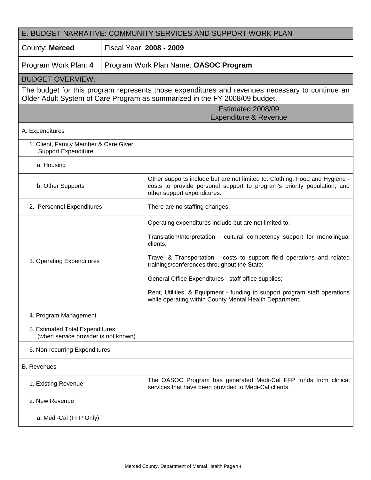| E. BUDGET NARRATIVE: COMMUNITY SERVICES AND SUPPORT WORK PLAN           |                                       |                                                                                                                                                                                       |  |
|-------------------------------------------------------------------------|---------------------------------------|---------------------------------------------------------------------------------------------------------------------------------------------------------------------------------------|--|
| County: Merced                                                          | Fiscal Year: 2008 - 2009              |                                                                                                                                                                                       |  |
| Program Work Plan: 4                                                    | Program Work Plan Name: OASOC Program |                                                                                                                                                                                       |  |
| <b>BUDGET OVERVIEW:</b>                                                 |                                       |                                                                                                                                                                                       |  |
|                                                                         |                                       | The budget for this program represents those expenditures and revenues necessary to continue an<br>Older Adult System of Care Program as summarized in the FY 2008/09 budget.         |  |
| Estimated 2008/09<br><b>Expenditure &amp; Revenue</b>                   |                                       |                                                                                                                                                                                       |  |
| A. Expenditures                                                         |                                       |                                                                                                                                                                                       |  |
| 1. Client, Family Member & Care Giver<br><b>Support Expenditure</b>     |                                       |                                                                                                                                                                                       |  |
| a. Housing                                                              |                                       |                                                                                                                                                                                       |  |
| b. Other Supports                                                       |                                       | Other supports include but are not limited to: Clothing, Food and Hygiene -<br>costs to provide personal support to program's priority population; and<br>other support expenditures. |  |
| 2. Personnel Expenditures                                               |                                       | There are no staffing changes.                                                                                                                                                        |  |
|                                                                         |                                       | Operating expenditures include but are not limited to:                                                                                                                                |  |
|                                                                         |                                       | Translation/Interpretation - cultural competency support for monolingual<br>clients;                                                                                                  |  |
| 3. Operating Expenditures                                               |                                       | Travel & Transportation - costs to support field operations and related<br>trainings/conferences throughout the State;                                                                |  |
|                                                                         |                                       | General Office Expenditures - staff office supplies;                                                                                                                                  |  |
|                                                                         |                                       | Rent, Utilities, & Equipment - funding to support program staff operations<br>while operating within County Mental Health Department.                                                 |  |
| 4. Program Management                                                   |                                       |                                                                                                                                                                                       |  |
| 5. Estimated Total Expenditures<br>(when service provider is not known) |                                       |                                                                                                                                                                                       |  |
| 6. Non-recurring Expenditures                                           |                                       |                                                                                                                                                                                       |  |
| <b>B.</b> Revenues                                                      |                                       |                                                                                                                                                                                       |  |
| 1. Existing Revenue                                                     |                                       | The OASOC Program has generated Medi-Cal FFP funds from clinical<br>services that have been provided to Medi-Cal clients.                                                             |  |
| 2. New Revenue                                                          |                                       |                                                                                                                                                                                       |  |
| a. Medi-Cal (FFP Only)                                                  |                                       |                                                                                                                                                                                       |  |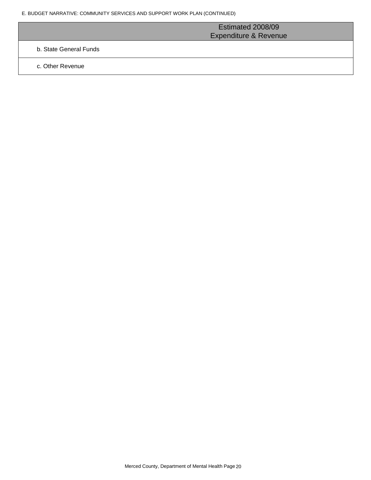|                        | Estimated 2008/09                |  |
|------------------------|----------------------------------|--|
|                        | <b>Expenditure &amp; Revenue</b> |  |
| b. State General Funds |                                  |  |
|                        |                                  |  |

c. Other Revenue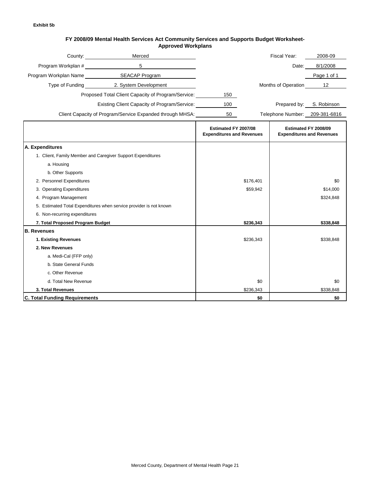#### **FY 2008/09 Mental Health Services Act Community Services and Supports Budget Worksheet-Approved Workplans**

|                                      | Merced Merced<br>County: the country of the country of the country of the country of the country of the country of the country of the country of the country of the country of the country of the country of the country of the country of the |                                                          |           | Fiscal Year:                   | 2008-09                                                  |
|--------------------------------------|------------------------------------------------------------------------------------------------------------------------------------------------------------------------------------------------------------------------------------------------|----------------------------------------------------------|-----------|--------------------------------|----------------------------------------------------------|
| Program Workplan #                   | 5                                                                                                                                                                                                                                              |                                                          |           | Date:                          | 8/1/2008                                                 |
|                                      | Program Workplan Name SEACAP Program                                                                                                                                                                                                           |                                                          |           |                                | Page 1 of 1                                              |
|                                      | Type of Funding 2. System Development                                                                                                                                                                                                          |                                                          |           | Months of Operation            | 12                                                       |
|                                      | Proposed Total Client Capacity of Program/Service:                                                                                                                                                                                             | 150                                                      |           |                                |                                                          |
|                                      | <b>Existing Client Capacity of Program/Service:</b>                                                                                                                                                                                            | 100                                                      |           |                                | Prepared by: S. Robinson                                 |
|                                      |                                                                                                                                                                                                                                                |                                                          |           |                                |                                                          |
|                                      | Client Capacity of Program/Service Expanded through MHSA:                                                                                                                                                                                      | 50                                                       |           | Telephone Number: 209-381-6816 |                                                          |
|                                      |                                                                                                                                                                                                                                                | Estimated FY 2007/08<br><b>Expenditures and Revenues</b> |           |                                | Estimated FY 2008/09<br><b>Expenditures and Revenues</b> |
| A. Expenditures                      |                                                                                                                                                                                                                                                |                                                          |           |                                |                                                          |
|                                      | 1. Client, Family Member and Caregiver Support Expenditures                                                                                                                                                                                    |                                                          |           |                                |                                                          |
| a. Housing                           |                                                                                                                                                                                                                                                |                                                          |           |                                |                                                          |
| b. Other Supports                    |                                                                                                                                                                                                                                                |                                                          |           |                                |                                                          |
| 2. Personnel Expenditures            |                                                                                                                                                                                                                                                |                                                          | \$176,401 |                                | \$0                                                      |
| 3. Operating Expenditures            |                                                                                                                                                                                                                                                |                                                          | \$59,942  |                                | \$14,000                                                 |
| 4. Program Management                |                                                                                                                                                                                                                                                |                                                          |           |                                | \$324,848                                                |
|                                      | 5. Estimated Total Expenditures when service provider is not known                                                                                                                                                                             |                                                          |           |                                |                                                          |
| 6. Non-recurring expenditures        |                                                                                                                                                                                                                                                |                                                          |           |                                |                                                          |
| 7. Total Proposed Program Budget     |                                                                                                                                                                                                                                                |                                                          | \$236,343 |                                | \$338,848                                                |
| <b>B.</b> Revenues                   |                                                                                                                                                                                                                                                |                                                          |           |                                |                                                          |
| 1. Existing Revenues                 |                                                                                                                                                                                                                                                |                                                          | \$236,343 |                                | \$338,848                                                |
| 2. New Revenues                      |                                                                                                                                                                                                                                                |                                                          |           |                                |                                                          |
| a. Medi-Cal (FFP only)               |                                                                                                                                                                                                                                                |                                                          |           |                                |                                                          |
| b. State General Funds               |                                                                                                                                                                                                                                                |                                                          |           |                                |                                                          |
| c. Other Revenue                     |                                                                                                                                                                                                                                                |                                                          |           |                                |                                                          |
| d. Total New Revenue                 |                                                                                                                                                                                                                                                |                                                          | \$0       |                                | \$0                                                      |
| 3. Total Revenues                    |                                                                                                                                                                                                                                                |                                                          | \$236,343 |                                | \$338,848                                                |
| <b>C. Total Funding Requirements</b> |                                                                                                                                                                                                                                                |                                                          | \$0       |                                | \$0                                                      |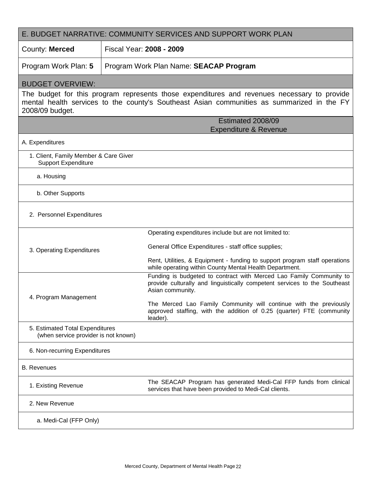| E. BUDGET NARRATIVE: COMMUNITY SERVICES AND SUPPORT WORK PLAN           |                                                                                                                                                                                           |  |  |
|-------------------------------------------------------------------------|-------------------------------------------------------------------------------------------------------------------------------------------------------------------------------------------|--|--|
| County: Merced                                                          | Fiscal Year: 2008 - 2009                                                                                                                                                                  |  |  |
| Program Work Plan: 5                                                    | Program Work Plan Name: SEACAP Program                                                                                                                                                    |  |  |
| <b>BUDGET OVERVIEW:</b>                                                 |                                                                                                                                                                                           |  |  |
| 2008/09 budget.                                                         | The budget for this program represents those expenditures and revenues necessary to provide<br>mental health services to the county's Southeast Asian communities as summarized in the FY |  |  |
|                                                                         | Estimated 2008/09<br><b>Expenditure &amp; Revenue</b>                                                                                                                                     |  |  |
| A. Expenditures                                                         |                                                                                                                                                                                           |  |  |
| 1. Client, Family Member & Care Giver<br><b>Support Expenditure</b>     |                                                                                                                                                                                           |  |  |
| a. Housing                                                              |                                                                                                                                                                                           |  |  |
| b. Other Supports                                                       |                                                                                                                                                                                           |  |  |
| 2. Personnel Expenditures                                               |                                                                                                                                                                                           |  |  |
|                                                                         | Operating expenditures include but are not limited to:                                                                                                                                    |  |  |
| 3. Operating Expenditures                                               | General Office Expenditures - staff office supplies;                                                                                                                                      |  |  |
|                                                                         | Rent, Utilities, & Equipment - funding to support program staff operations<br>while operating within County Mental Health Department.                                                     |  |  |
| 4. Program Management                                                   | Funding is budgeted to contract with Merced Lao Family Community to<br>provide culturally and linguistically competent services to the Southeast<br>Asian community.                      |  |  |
|                                                                         | The Merced Lao Family Community will continue with the previously<br>approved staffing, with the addition of 0.25 (quarter) FTE (community<br>leader).                                    |  |  |
| 5. Estimated Total Expenditures<br>(when service provider is not known) |                                                                                                                                                                                           |  |  |
| 6. Non-recurring Expenditures                                           |                                                                                                                                                                                           |  |  |
| <b>B.</b> Revenues                                                      |                                                                                                                                                                                           |  |  |
| 1. Existing Revenue                                                     | The SEACAP Program has generated Medi-Cal FFP funds from clinical<br>services that have been provided to Medi-Cal clients.                                                                |  |  |
| 2. New Revenue                                                          |                                                                                                                                                                                           |  |  |
| a. Medi-Cal (FFP Only)                                                  |                                                                                                                                                                                           |  |  |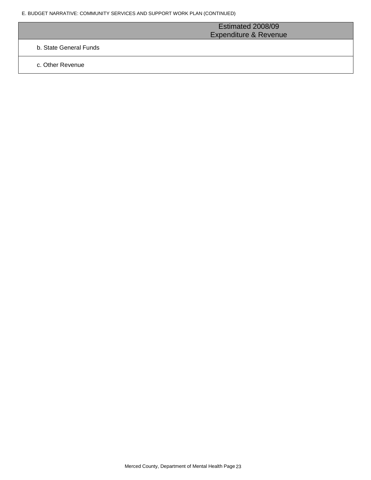|                        | Estimated 2008/09<br><b>Expenditure &amp; Revenue</b> |
|------------------------|-------------------------------------------------------|
| b. State General Funds |                                                       |
| c. Other Revenue       |                                                       |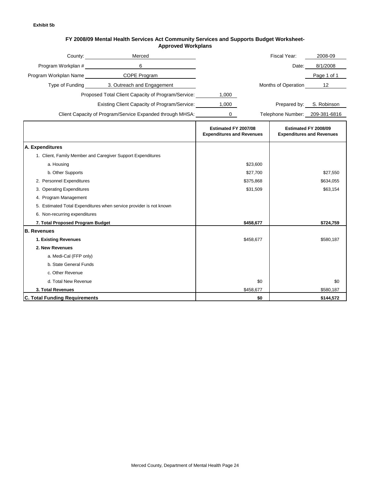#### **FY 2008/09 Mental Health Services Act Community Services and Supports Budget Worksheet-Approved Workplans**

|                                      | Merced<br>County: 2000                                             |                                                          |           | Fiscal Year:                   | 2008-09                                                  |
|--------------------------------------|--------------------------------------------------------------------|----------------------------------------------------------|-----------|--------------------------------|----------------------------------------------------------|
| Program Workplan #                   | 6                                                                  |                                                          |           | Date:                          | 8/1/2008                                                 |
|                                      | Program Workplan Name COPE Program                                 |                                                          |           |                                | Page 1 of 1                                              |
|                                      | Type of Funding 3. Outreach and Engagement                         |                                                          |           | Months of Operation            | 12                                                       |
|                                      | Proposed Total Client Capacity of Program/Service:                 | 1,000                                                    |           |                                |                                                          |
|                                      | Existing Client Capacity of Program/Service:                       | 1,000                                                    |           | Prepared by:                   | S. Robinson                                              |
|                                      | Client Capacity of Program/Service Expanded through MHSA:          | 0                                                        |           | Telephone Number: 209-381-6816 |                                                          |
|                                      |                                                                    |                                                          |           |                                |                                                          |
|                                      |                                                                    | Estimated FY 2007/08<br><b>Expenditures and Revenues</b> |           |                                | Estimated FY 2008/09<br><b>Expenditures and Revenues</b> |
| A. Expenditures                      |                                                                    |                                                          |           |                                |                                                          |
|                                      | 1. Client, Family Member and Caregiver Support Expenditures        |                                                          |           |                                |                                                          |
| a. Housing                           |                                                                    |                                                          | \$23,600  |                                |                                                          |
| b. Other Supports                    |                                                                    |                                                          | \$27,700  |                                | \$27,550                                                 |
| 2. Personnel Expenditures            |                                                                    |                                                          | \$375,868 |                                | \$634,055                                                |
| 3. Operating Expenditures            |                                                                    |                                                          | \$31,509  |                                | \$63,154                                                 |
| 4. Program Management                |                                                                    |                                                          |           |                                |                                                          |
|                                      | 5. Estimated Total Expenditures when service provider is not known |                                                          |           |                                |                                                          |
| 6. Non-recurring expenditures        |                                                                    |                                                          |           |                                |                                                          |
| 7. Total Proposed Program Budget     |                                                                    |                                                          | \$458,677 |                                | \$724,759                                                |
| <b>B.</b> Revenues                   |                                                                    |                                                          |           |                                |                                                          |
| 1. Existing Revenues                 |                                                                    |                                                          | \$458,677 |                                | \$580,187                                                |
| 2. New Revenues                      |                                                                    |                                                          |           |                                |                                                          |
| a. Medi-Cal (FFP only)               |                                                                    |                                                          |           |                                |                                                          |
| b. State General Funds               |                                                                    |                                                          |           |                                |                                                          |
| c. Other Revenue                     |                                                                    |                                                          |           |                                |                                                          |
| d. Total New Revenue                 |                                                                    |                                                          | \$0       |                                | \$0                                                      |
| 3. Total Revenues                    |                                                                    |                                                          | \$458,677 |                                | \$580,187                                                |
| <b>C. Total Funding Requirements</b> |                                                                    |                                                          | \$0       |                                | \$144,572                                                |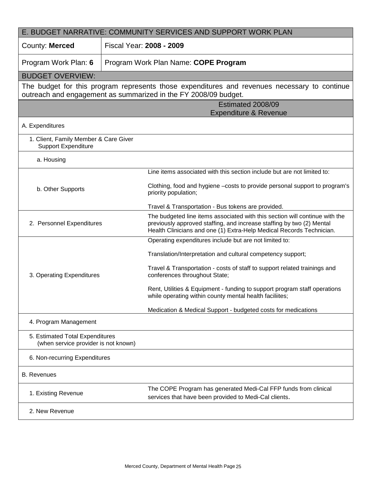| E. BUDGET NARRATIVE: COMMUNITY SERVICES AND SUPPORT WORK PLAN           |                                                                                                                                                                                                                              |  |  |
|-------------------------------------------------------------------------|------------------------------------------------------------------------------------------------------------------------------------------------------------------------------------------------------------------------------|--|--|
| County: Merced                                                          | Fiscal Year: 2008 - 2009                                                                                                                                                                                                     |  |  |
| Program Work Plan: 6                                                    | Program Work Plan Name: COPE Program                                                                                                                                                                                         |  |  |
| <b>BUDGET OVERVIEW:</b>                                                 |                                                                                                                                                                                                                              |  |  |
|                                                                         | The budget for this program represents those expenditures and revenues necessary to continue<br>outreach and engagement as summarized in the FY 2008/09 budget.                                                              |  |  |
|                                                                         | Estimated 2008/09                                                                                                                                                                                                            |  |  |
|                                                                         | <b>Expenditure &amp; Revenue</b>                                                                                                                                                                                             |  |  |
| A. Expenditures                                                         |                                                                                                                                                                                                                              |  |  |
| 1. Client, Family Member & Care Giver<br><b>Support Expenditure</b>     |                                                                                                                                                                                                                              |  |  |
| a. Housing                                                              |                                                                                                                                                                                                                              |  |  |
|                                                                         | Line items associated with this section include but are not limited to:                                                                                                                                                      |  |  |
| b. Other Supports                                                       | Clothing, food and hygiene - costs to provide personal support to program's<br>priority population;                                                                                                                          |  |  |
|                                                                         | Travel & Transportation - Bus tokens are provided.                                                                                                                                                                           |  |  |
| 2. Personnel Expenditures                                               | The budgeted line items associated with this section will continue with the<br>previously approved staffing, and increase staffing by two (2) Mental<br>Health Clinicians and one (1) Extra-Help Medical Records Technician. |  |  |
|                                                                         | Operating expenditures include but are not limited to:                                                                                                                                                                       |  |  |
|                                                                         | Translation/Interpretation and cultural competency support;                                                                                                                                                                  |  |  |
| 3. Operating Expenditures                                               | Travel & Transportation - costs of staff to support related trainings and<br>conferences throughout State;                                                                                                                   |  |  |
|                                                                         | Rent, Utilities & Equipment - funding to support program staff operations<br>while operating within county mental health faciliites;                                                                                         |  |  |
|                                                                         | Medication & Medical Support - budgeted costs for medications                                                                                                                                                                |  |  |
| 4. Program Management                                                   |                                                                                                                                                                                                                              |  |  |
| 5. Estimated Total Expenditures<br>(when service provider is not known) |                                                                                                                                                                                                                              |  |  |
| 6. Non-recurring Expenditures                                           |                                                                                                                                                                                                                              |  |  |
| <b>B.</b> Revenues                                                      |                                                                                                                                                                                                                              |  |  |
| 1. Existing Revenue                                                     | The COPE Program has generated Medi-Cal FFP funds from clinical<br>services that have been provided to Medi-Cal clients.                                                                                                     |  |  |
| 2. New Revenue                                                          |                                                                                                                                                                                                                              |  |  |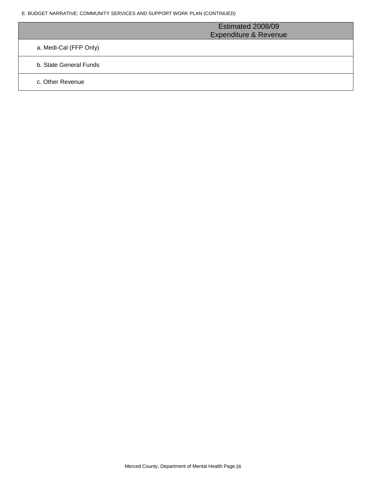E. BUDGET NARRATIVE: COMMUNITY SERVICES AND SUPPORT WORK PLAN (CONTINUED)

|                        | Estimated 2008/09<br><b>Expenditure &amp; Revenue</b> |
|------------------------|-------------------------------------------------------|
| a. Medi-Cal (FFP Only) |                                                       |
| b. State General Funds |                                                       |
| c. Other Revenue       |                                                       |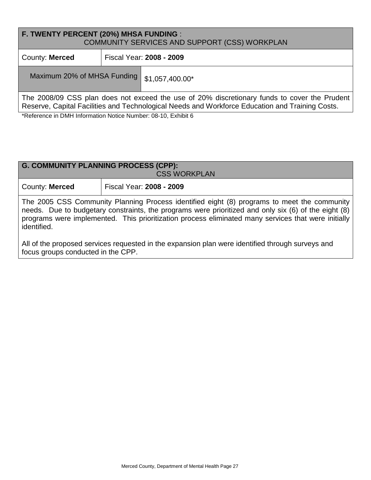| <b>F. TWENTY PERCENT (20%) MHSA FUNDING :</b><br>COMMUNITY SERVICES AND SUPPORT (CSS) WORKPLAN                                                                                                                                                                                                       |  |                          |  |
|------------------------------------------------------------------------------------------------------------------------------------------------------------------------------------------------------------------------------------------------------------------------------------------------------|--|--------------------------|--|
| County: Merced                                                                                                                                                                                                                                                                                       |  | Fiscal Year: 2008 - 2009 |  |
| Maximum 20% of MHSA Funding                                                                                                                                                                                                                                                                          |  | \$1,057,400.00*          |  |
| The 2008/09 CSS plan does not exceed the use of 20% discretionary funds to cover the Prudent<br>Reserve, Capital Facilities and Technological Needs and Workforce Education and Training Costs.<br>$*D_{\text{in}}f_{\text{in}}$ on $\sim$ DMIT left and the Middler Middle on $00.40$ . Fully $0.0$ |  |                          |  |

\*Reference in DMH Information Notice Number: 08-10, Exhibit 6

| <b>G. COMMUNITY PLANNING PROCESS (CPP):</b><br><b>CSS WORKPLAN</b>                                                                                                                                                                                                                                                        |                          |  |  |
|---------------------------------------------------------------------------------------------------------------------------------------------------------------------------------------------------------------------------------------------------------------------------------------------------------------------------|--------------------------|--|--|
| County: Merced                                                                                                                                                                                                                                                                                                            | Fiscal Year: 2008 - 2009 |  |  |
| The 2005 CSS Community Planning Process identified eight (8) programs to meet the community<br>needs. Due to budgetary constraints, the programs were prioritized and only six (6) of the eight (8)<br>programs were implemented. This prioritization process eliminated many services that were initially<br>identified. |                          |  |  |
| All of the proposed services requested in the expansion plan were identified through surveys and<br>focus groups conducted in the CPP.                                                                                                                                                                                    |                          |  |  |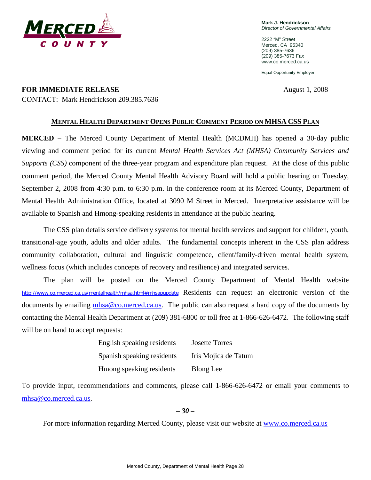

**Mark J. Hendrickson** *Director of Governmental Affairs*

2222 "M" Street Merced, CA 95340 (209) 385-7636 (209) 385-7673 Fax www.co.merced.ca.us

Equal Opportunity Employer

**FOR IMMEDIATE RELEASE** August 1, 2008 CONTACT: Mark Hendrickson 209.385.7636

### **MENTAL HEALTH DEPARTMENT OPENS PUBLIC COMMENT PERIOD ON MHSA CSS PLAN**

**MERCED –** The Merced County Department of Mental Health (MCDMH) has opened a 30-day public viewing and comment period for its current *Mental Health Services Act (MHSA) Community Services and Supports (CSS)* component of the three-year program and expenditure plan request. At the close of this public comment period, the Merced County Mental Health Advisory Board will hold a public hearing on Tuesday, September 2, 2008 from 4:30 p.m. to 6:30 p.m. in the conference room at its Merced County, Department of Mental Health Administration Office, located at 3090 M Street in Merced. Interpretative assistance will be available to Spanish and Hmong-speaking residents in attendance at the public hearing.

The CSS plan details service delivery systems for mental health services and support for children, youth, transitional-age youth, adults and older adults. The fundamental concepts inherent in the CSS plan address community collaboration, cultural and linguistic competence, client/family-driven mental health system, wellness focus (which includes concepts of recovery and resilience) and integrated services.

The plan will be posted on the Merced County Department of Mental Health website <http://www.co.merced.ca.us/mentalhealth/mhsa.html#mhsapupdate> Residents can request an electronic version of the documents by emailing [mhsa@co.merced.ca.us.](mailto:mhsa@co.merced.ca.us) The public can also request a hard copy of the documents by contacting the Mental Health Department at (209) 381-6800 or toll free at 1-866-626-6472. The following staff will be on hand to accept requests:

| English speaking residents | <b>Josette Torres</b> |
|----------------------------|-----------------------|
| Spanish speaking residents | Iris Mojica de Tatum  |
| Hmong speaking residents   | <b>Blong</b> Lee      |

To provide input, recommendations and comments, please call 1-866-626-6472 or email your comments to [mhsa@co.merced.ca.us.](mailto:mhsa@co.merced.ca.us)

*– 30 –*

For more information regarding Merced County, please visit our website at [www.co.merced.ca.us](http://www.co.merced.ca.us/)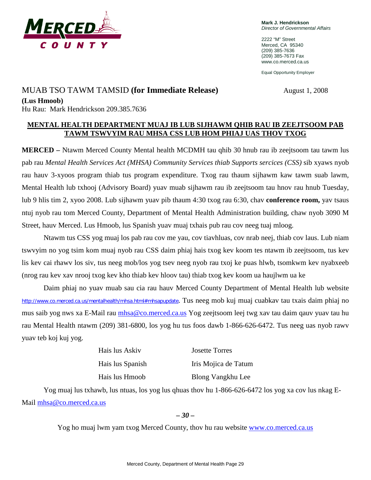

**Mark J. Hendrickson** *Director of Governmental Affairs*

2222 "M" Street Merced, CA 95340 (209) 385-7636 (209) 385-7673 Fax www.co.merced.ca.us

Equal Opportunity Employer

## **MUAB TSO TAWM TAMSID (for Immediate Release)** August 1, 2008

**(Lus Hmoob)**

Hu Rau: Mark Hendrickson 209.385.7636

## **MENTAL HEALTH DEPARTMENT MUAJ IB LUB SIJHAWM QHIB RAU IB ZEEJTSOOM PAB TAWM TSWVYIM RAU MHSA CSS LUB HOM PHIAJ UAS THOV TXOG**

**MERCED –** Ntawm Merced County Mental health MCDMH tau qhib 30 hnub rau ib zeejtsoom tau tawm lus pab rau *Mental Health Services Act (MHSA) Community Services thiab Supports sercices (CSS)* sib xyaws nyob rau hauv 3-xyoos program thiab tus program expenditure. Txog rau thaum sijhawm kaw tawm suab lawm, Mental Health lub txhooj (Advisory Board) yuav muab sijhawm rau ib zeejtsoom tau hnov rau hnub Tuesday, lub 9 hlis tim 2, xyoo 2008. Lub sijhawm yuav pib thaum 4:30 txog rau 6:30, chav **conference room,** yav tsaus ntuj nyob rau tom Merced County, Department of Mental Health Administration building, chaw nyob 3090 M Street, hauv Merced. Lus Hmoob, lus Spanish yuav muaj txhais pub rau cov neeg tuaj mloog.

Ntawm tus CSS yog muaj los pab rau cov me yau, cov tiavhluas, cov nrab neej, thiab cov laus. Lub niam tswvyim no yog tsim kom muaj nyob rau CSS daim phiaj hais txog kev koom tes ntawm ib zeejtsoom, tus kev lis kev cai rhawv los siv, tus neeg mob/los yog tsev neeg nyob rau txoj ke puas hlwb, tsomkwm kev nyabxeeb (nrog rau kev xav nrooj txog kev kho thiab kev hloov tau) thiab txog kev koom ua haujlwm ua ke

Daim phiaj no yuav muab sau cia rau hauv Merced County Department of Mental Health lub website http://www.co.merced.ca.us/mentalhealth/mhsa.html#mhsapupdate. Tus neeg mob kuj muaj cuabkav tau txais daim phiaj no mus saib yog nws xa E-Mail rau [mhsa@co.merced.ca.us](mailto:mhsa@co.merced.ca.us) Yog zeejtsoom leej twg xav tau daim qauv yuav tau hu rau Mental Health ntawm (209) 381-6800, los yog hu tus foos dawb 1-866-626-6472. Tus neeg uas nyob rawv yuav teb koj kuj yog.

Hais lus Askiv Josette Torres

Hais lus Spanish Iris Mojica de Tatum Hais lus Hmoob Blong Vangkhu Lee

Yog muaj lus txhawb, lus ntuas, los yog lus qhuas thov hu 1-866-626-6472 los yog xa cov lus nkag E-Mail [mhsa@co.merced.ca.us](mailto:mhsa@co.merced.ca.us)

*– 30 –*

Yog ho muaj lwm yam txog Merced County, thov hu rau website [www.co.merced.ca.us](http://www.co.merced.ca.us/)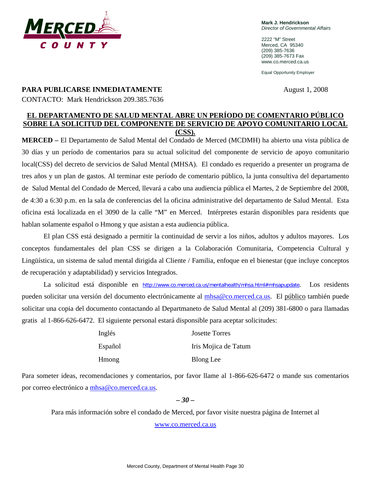

**Mark J. Hendrickson** *Director of Governmental Affairs*

2222 "M" Street Merced, CA 95340 (209) 385-7636 (209) 385-7673 Fax www.co.merced.ca.us

Equal Opportunity Employer

### **PARA PUBLICARSE INMEDIATAMENTE** August 1, 2008

CONTACTO: Mark Hendrickson 209.385.7636

## **EL DEPARTAMENTO DE SALUD MENTAL ABRE UN PERÍODO DE COMENTARIO PÚBLICO SOBRE LA SOLICITUD DEL COMPONENTE DE SERVICIO DE APOYO COMUNITARIO LOCAL (CSS).**

**MERCED –** El Departamento de Salud Mental del Condado de Merced (MCDMH) ha abierto una vista pública de 30 días y un período de comentarios para su actual solicitud del componente de servicio de apoyo comunitario local(CSS) del decreto de servicios de Salud Mental (MHSA). El condado es requerido a presenter un programa de tres años y un plan de gastos. Al terminar este período de comentario público, la junta consultiva del departamento de Salud Mental del Condado de Merced, llevará a cabo una audiencia pública el Martes, 2 de Septiembre del 2008, de 4:30 a 6:30 p.m. en la sala de conferencias del la oficina administrative del departamento de Salud Mental. Esta oficina está localizada en el 3090 de la calle "M" en Merced. Intérpretes estarán disponibles para residents que hablan solamente español o Hmong y que asistan a esta audiencia pública.

El plan CSS está designado a permitir la continuidad de servir a los niños, adultos y adultos mayores. Los conceptos fundamentales del plan CSS se dirigen a la Colaboración Comunitaria, Competencia Cultural y Lingüística, un sistema de salud mental dirigida al Cliente / Familia, enfoque en el bienestar (que incluye conceptos de recuperación y adaptabilidad) y servicios Integrados.

La solicitud está disponible en http://www.co.merced.ca.us/mentalhealth/mhsa.html#mhsapupdate. Los residents pueden solicitar una versión del documento electrónicamente al [mhsa@co.merced.ca.us.](mailto:mhsa@co.merced.ca.us) El público también puede solicitar una copia del documento contactando al Departmaneto de Salud Mental al (209) 381-6800 o para llamadas gratis al 1-866-626-6472. El siguiente personal estará disponsible para aceptar solicitudes:

| Inglés        | <b>Josette Torres</b> |
|---------------|-----------------------|
| Español       | Iris Mojica de Tatum  |
| <b>H</b> mong | Blong Lee             |

Para someter ideas, recomendaciones y comentarios, por favor llame al 1-866-626-6472 o mande sus comentarios por correo electrónico a [mhsa@co.merced.ca.us.](mailto:mhsa@co.merced.ca.us)

### *– 30 –*

Para más información sobre el condado de Merced, por favor visite nuestra página de Internet al [www.co.merced.ca.us](http://www.co.merced.ca.us/)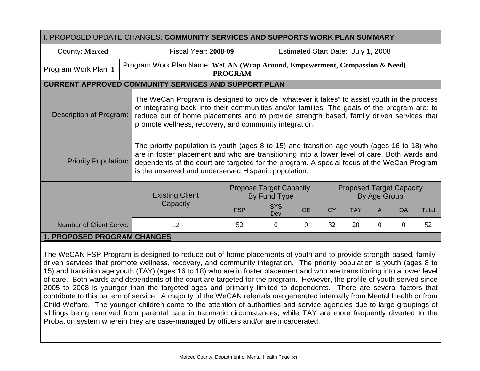| I. PROPOSED UPDATE CHANGES: COMMUNITY SERVICES AND SUPPORTS WORK PLAN SUMMARY |                             |                                                                                                                                                                                                                                                                                                                                                    |                                                |                                    |           |            |                                                 |                |       |
|-------------------------------------------------------------------------------|-----------------------------|----------------------------------------------------------------------------------------------------------------------------------------------------------------------------------------------------------------------------------------------------------------------------------------------------------------------------------------------------|------------------------------------------------|------------------------------------|-----------|------------|-------------------------------------------------|----------------|-------|
| County: Merced                                                                | <b>Fiscal Year: 2008-09</b> |                                                                                                                                                                                                                                                                                                                                                    |                                                | Estimated Start Date: July 1, 2008 |           |            |                                                 |                |       |
| Program Work Plan: 1                                                          |                             | Program Work Plan Name: WeCAN (Wrap Around, Empowerment, Compassion & Need)<br><b>PROGRAM</b>                                                                                                                                                                                                                                                      |                                                |                                    |           |            |                                                 |                |       |
| <b>CURRENT APPROVED COMMUNITY SERVICES AND SUPPORT PLAN</b>                   |                             |                                                                                                                                                                                                                                                                                                                                                    |                                                |                                    |           |            |                                                 |                |       |
| Description of Program:                                                       |                             | The WeCan Program is designed to provide "whatever it takes" to assist youth in the process<br>of integrating back into their communities and/or families. The goals of the program are: to<br>reduce out of home placements and to provide strength based, family driven services that<br>promote wellness, recovery, and community integration.  |                                                |                                    |           |            |                                                 |                |       |
| <b>Priority Population:</b>                                                   |                             | The priority population is youth (ages 8 to 15) and transition age youth (ages 16 to 18) who<br>are in foster placement and who are transitioning into a lower level of care. Both wards and<br>dependents of the court are targeted for the program. A special focus of the WeCan Program<br>is the unserved and underserved Hispanic population. |                                                |                                    |           |            |                                                 |                |       |
|                                                                               | <b>Existing Client</b>      |                                                                                                                                                                                                                                                                                                                                                    | <b>Propose Target Capacity</b><br>By Fund Type |                                    |           |            | <b>Proposed Target Capacity</b><br>By Age Group |                |       |
|                                                                               | Capacity                    | <b>FSP</b>                                                                                                                                                                                                                                                                                                                                         | <b>SYS</b><br>Dev                              | <b>OE</b>                          | <b>CY</b> | <b>TAY</b> | A                                               | <b>OA</b>      | Total |
| Number of Client Serve:                                                       | 52                          | 52                                                                                                                                                                                                                                                                                                                                                 | $\Omega$                                       | $\overline{0}$                     | 32        | 20         | 0                                               | $\overline{0}$ | 52    |
|                                                                               | 1. PROPOSED PROGRAM CHANGES |                                                                                                                                                                                                                                                                                                                                                    |                                                |                                    |           |            |                                                 |                |       |

The WeCAN FSP Program is designed to reduce out of home placements of youth and to provide strength-based, familydriven services that promote wellness, recovery, and community integration. The priority population is youth (ages 8 to 15) and transition age youth (TAY) (ages 16 to 18) who are in foster placement and who are transitioning into a lower level of care. Both wards and dependents of the court are targeted for the program. However, the profile of youth served since 2005 to 2008 is younger than the targeted ages and primarily limited to dependents. There are several factors that contribute to this pattern of service. A majority of the WeCAN referrals are generated internally from Mental Health or from Child Welfare. The younger children come to the attention of authorities and service agencies due to large groupings of siblings being removed from parental care in traumatic circumstances, while TAY are more frequently diverted to the Probation system wherein they are case-managed by officers and/or are incarcerated.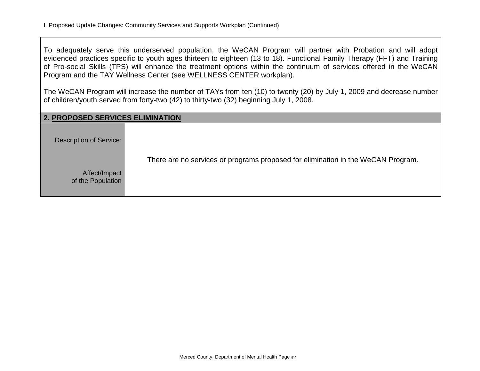To adequately serve this underserved population, the WeCAN Program will partner with Probation and will adopt evidenced practices specific to youth ages thirteen to eighteen (13 to 18). Functional Family Therapy (FFT) and Training of Pro-social Skills (TPS) will enhance the treatment options within the continuum of services offered in the WeCAN Program and the TAY Wellness Center (see WELLNESS CENTER workplan).

The WeCAN Program will increase the number of TAYs from ten (10) to twenty (20) by July 1, 2009 and decrease number of children/youth served from forty-two (42) to thirty-two (32) beginning July 1, 2008.

| <b>2. PROPOSED SERVICES ELIMINATION</b> |                                                                                  |
|-----------------------------------------|----------------------------------------------------------------------------------|
| Description of Service:                 |                                                                                  |
| Affect/Impact<br>of the Population      | There are no services or programs proposed for elimination in the WeCAN Program. |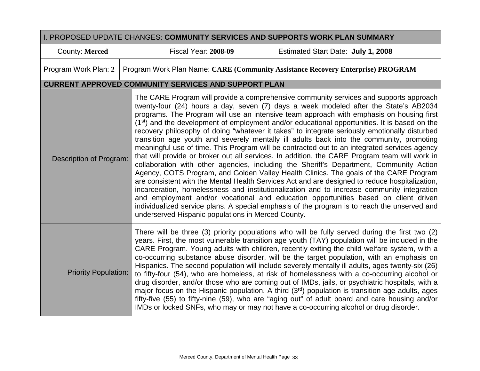|                             | I. PROPOSED UPDATE CHANGES: COMMUNITY SERVICES AND SUPPORTS WORK PLAN SUMMARY   |                                                                                                                                                                                                                                                                                                                                                                                                                                                                                                                                                                                                                                                                                                                                                                                                                                                                                                                                                                                                                                                                                                                                                                                                                                                                                                                                                                  |
|-----------------------------|---------------------------------------------------------------------------------|------------------------------------------------------------------------------------------------------------------------------------------------------------------------------------------------------------------------------------------------------------------------------------------------------------------------------------------------------------------------------------------------------------------------------------------------------------------------------------------------------------------------------------------------------------------------------------------------------------------------------------------------------------------------------------------------------------------------------------------------------------------------------------------------------------------------------------------------------------------------------------------------------------------------------------------------------------------------------------------------------------------------------------------------------------------------------------------------------------------------------------------------------------------------------------------------------------------------------------------------------------------------------------------------------------------------------------------------------------------|
| <b>County: Merced</b>       | <b>Fiscal Year: 2008-09</b>                                                     | Estimated Start Date: July 1, 2008                                                                                                                                                                                                                                                                                                                                                                                                                                                                                                                                                                                                                                                                                                                                                                                                                                                                                                                                                                                                                                                                                                                                                                                                                                                                                                                               |
| Program Work Plan: 2        | Program Work Plan Name: CARE (Community Assistance Recovery Enterprise) PROGRAM |                                                                                                                                                                                                                                                                                                                                                                                                                                                                                                                                                                                                                                                                                                                                                                                                                                                                                                                                                                                                                                                                                                                                                                                                                                                                                                                                                                  |
|                             | <b>CURRENT APPROVED COMMUNITY SERVICES AND SUPPORT PLAN</b>                     |                                                                                                                                                                                                                                                                                                                                                                                                                                                                                                                                                                                                                                                                                                                                                                                                                                                                                                                                                                                                                                                                                                                                                                                                                                                                                                                                                                  |
| Description of Program:     | underserved Hispanic populations in Merced County.                              | The CARE Program will provide a comprehensive community services and supports approach<br>twenty-four (24) hours a day, seven (7) days a week modeled after the State's AB2034<br>programs. The Program will use an intensive team approach with emphasis on housing first<br>(1 <sup>st</sup> ) and the development of employment and/or educational opportunities. It is based on the<br>recovery philosophy of doing "whatever it takes" to integrate seriously emotionally disturbed<br>transition age youth and severely mentally ill adults back into the community, promoting<br>meaningful use of time. This Program will be contracted out to an integrated services agency<br>that will provide or broker out all services. In addition, the CARE Program team will work in<br>collaboration with other agencies, including the Sheriff's Department, Community Action<br>Agency, COTS Program, and Golden Valley Health Clinics. The goals of the CARE Program<br>are consistent with the Mental Health Services Act and are designed to reduce hospitalization,<br>incarceration, homelessness and institutionalization and to increase community integration<br>and employment and/or vocational and education opportunities based on client driven<br>individualized service plans. A special emphasis of the program is to reach the unserved and |
| <b>Priority Population:</b> |                                                                                 | There will be three (3) priority populations who will be fully served during the first two (2)<br>years. First, the most vulnerable transition age youth (TAY) population will be included in the<br>CARE Program. Young adults with children, recently exiting the child welfare system, with a<br>co-occurring substance abuse disorder, will be the target population, with an emphasis on<br>Hispanics. The second population will include severely mentally ill adults, ages twenty-six (26)<br>to fifty-four (54), who are homeless, at risk of homelessness with a co-occurring alcohol or<br>drug disorder, and/or those who are coming out of IMDs, jails, or psychiatric hospitals, with a<br>major focus on the Hispanic population. A third (3rd) population is transition age adults, ages<br>fifty-five (55) to fifty-nine (59), who are "aging out" of adult board and care housing and/or<br>IMDs or locked SNFs, who may or may not have a co-occurring alcohol or drug disorder.                                                                                                                                                                                                                                                                                                                                                               |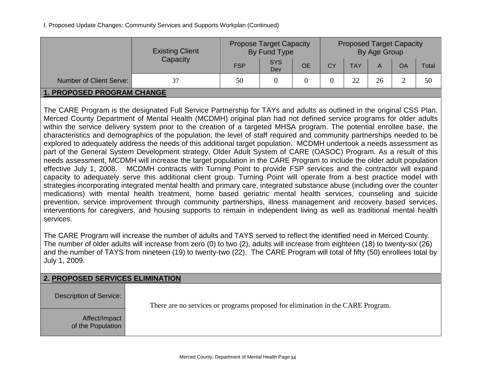I. Proposed Update Changes: Community Services and Supports Workplan (Continued)

|                                | <b>Existing Client</b><br>Capacity | <b>Propose Target Capacity</b><br>By Fund Type |                   |           | <b>Proposed Target Capacity</b><br>By Age Group |            |    |    |       |  |
|--------------------------------|------------------------------------|------------------------------------------------|-------------------|-----------|-------------------------------------------------|------------|----|----|-------|--|
|                                |                                    | <b>FSP</b>                                     | <b>SYS</b><br>Dev | <b>OE</b> | CY                                              | <b>TAY</b> | A  | OA | Total |  |
| <b>Number of Client Serve:</b> |                                    | 50                                             |                   |           |                                                 | つつ         | 26 |    | 50    |  |
| 1. PROPOSED PROGRAM CHANGE     |                                    |                                                |                   |           |                                                 |            |    |    |       |  |

The CARE Program is the designated Full Service Partnership for TAYs and adults as outlined in the original CSS Plan. Merced County Department of Mental Health (MCDMH) original plan had not defined service programs for older adults within the service delivery system prior to the creation of a targeted MHSA program. The potential enrollee base, the characteristics and demographics of the population, the level of staff required and community partnerships needed to be explored to adequately address the needs of this additional target population. MCDMH undertook a needs assessment as part of the General System Development strategy, Older Adult System of CARE (OASOC) Program. As a result of this needs assessment, MCDMH will increase the target population in the CARE Program to include the older adult population effective July 1, 2008. MCDMH contracts with Turning Point to provide FSP services and the contractor will expand capacity to adequately serve this additional client group. Turning Point will operate from a best practice model with strategies incorporating integrated mental health and primary care, integrated substance abuse (including over the counter medications) with mental health treatment, home based geriatric mental health services, counseling and suicide prevention, service improvement through community partnerships, illness management and recovery based services, interventions for caregivers, and housing supports to remain in independent living as well as traditional mental health services.

The CARE Program will increase the number of adults and TAYS served to reflect the identified need in Merced County. The number of older adults will increase from zero (0) to two (2), adults will increase from eighteen (18) to twenty-six (26) and the number of TAYS from nineteen (19) to twenty-two (22). The CARE Program will total of fifty (50) enrollees total by July 1, 2009.

| <b>2. PROPOSED SERVICES ELIMINATION</b> |                                                                                 |  |  |  |  |  |  |  |
|-----------------------------------------|---------------------------------------------------------------------------------|--|--|--|--|--|--|--|
| Description of Service:                 | There are no services or programs proposed for elimination in the CARE Program. |  |  |  |  |  |  |  |
| Affect/Impact<br>of the Population      |                                                                                 |  |  |  |  |  |  |  |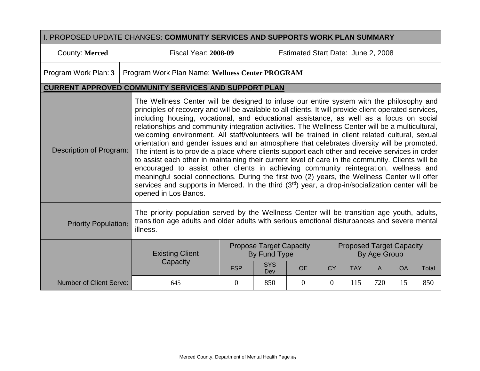| I. PROPOSED UPDATE CHANGES: COMMUNITY SERVICES AND SUPPORTS WORK PLAN SUMMARY                                                                                                                                                                                                                                                                                                                                                                                                                                                                                                                                                                                                                                                                                                                                                                                                                                                                                                                                                                                                                                                                               |                                                                                                                                                                                                         |                                                                   |                                                |           |           |            |              |                                 |       |  |
|-------------------------------------------------------------------------------------------------------------------------------------------------------------------------------------------------------------------------------------------------------------------------------------------------------------------------------------------------------------------------------------------------------------------------------------------------------------------------------------------------------------------------------------------------------------------------------------------------------------------------------------------------------------------------------------------------------------------------------------------------------------------------------------------------------------------------------------------------------------------------------------------------------------------------------------------------------------------------------------------------------------------------------------------------------------------------------------------------------------------------------------------------------------|---------------------------------------------------------------------------------------------------------------------------------------------------------------------------------------------------------|-------------------------------------------------------------------|------------------------------------------------|-----------|-----------|------------|--------------|---------------------------------|-------|--|
| County: Merced                                                                                                                                                                                                                                                                                                                                                                                                                                                                                                                                                                                                                                                                                                                                                                                                                                                                                                                                                                                                                                                                                                                                              |                                                                                                                                                                                                         | <b>Fiscal Year: 2008-09</b><br>Estimated Start Date: June 2, 2008 |                                                |           |           |            |              |                                 |       |  |
| Program Work Plan: 3                                                                                                                                                                                                                                                                                                                                                                                                                                                                                                                                                                                                                                                                                                                                                                                                                                                                                                                                                                                                                                                                                                                                        | Program Work Plan Name: Wellness Center PROGRAM                                                                                                                                                         |                                                                   |                                                |           |           |            |              |                                 |       |  |
| <b>CURRENT APPROVED COMMUNITY SERVICES AND SUPPORT PLAN</b>                                                                                                                                                                                                                                                                                                                                                                                                                                                                                                                                                                                                                                                                                                                                                                                                                                                                                                                                                                                                                                                                                                 |                                                                                                                                                                                                         |                                                                   |                                                |           |           |            |              |                                 |       |  |
| The Wellness Center will be designed to infuse our entire system with the philosophy and<br>principles of recovery and will be available to all clients. It will provide client operated services,<br>including housing, vocational, and educational assistance, as well as a focus on social<br>relationships and community integration activities. The Wellness Center will be a multicultural,<br>welcoming environment. All staff/volunteers will be trained in client related cultural, sexual<br>orientation and gender issues and an atmosphere that celebrates diversity will be promoted.<br>Description of Program:<br>The intent is to provide a place where clients support each other and receive services in order<br>to assist each other in maintaining their current level of care in the community. Clients will be<br>encouraged to assist other clients in achieving community reintegration, wellness and<br>meaningful social connections. During the first two (2) years, the Wellness Center will offer<br>services and supports in Merced. In the third (3rd) year, a drop-in/socialization center will be<br>opened in Los Banos. |                                                                                                                                                                                                         |                                                                   |                                                |           |           |            |              |                                 |       |  |
| <b>Priority Population:</b>                                                                                                                                                                                                                                                                                                                                                                                                                                                                                                                                                                                                                                                                                                                                                                                                                                                                                                                                                                                                                                                                                                                                 | The priority population served by the Wellness Center will be transition age youth, adults,<br>transition age adults and older adults with serious emotional disturbances and severe mental<br>illness. |                                                                   |                                                |           |           |            |              |                                 |       |  |
|                                                                                                                                                                                                                                                                                                                                                                                                                                                                                                                                                                                                                                                                                                                                                                                                                                                                                                                                                                                                                                                                                                                                                             | <b>Existing Client</b>                                                                                                                                                                                  |                                                                   | <b>Propose Target Capacity</b><br>By Fund Type |           |           |            | By Age Group | <b>Proposed Target Capacity</b> |       |  |
|                                                                                                                                                                                                                                                                                                                                                                                                                                                                                                                                                                                                                                                                                                                                                                                                                                                                                                                                                                                                                                                                                                                                                             | Capacity                                                                                                                                                                                                | <b>FSP</b>                                                        | <b>SYS</b><br>Dev                              | <b>OE</b> | <b>CY</b> | <b>TAY</b> | A            | <b>OA</b>                       | Total |  |
| <b>Number of Client Serve:</b>                                                                                                                                                                                                                                                                                                                                                                                                                                                                                                                                                                                                                                                                                                                                                                                                                                                                                                                                                                                                                                                                                                                              | 645                                                                                                                                                                                                     | $\theta$                                                          | 850                                            | $\Omega$  | $\theta$  | 115        | 720          | 15                              | 850   |  |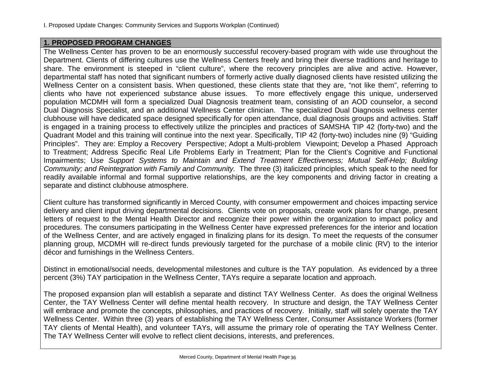### **1. PROPOSED PROGRAM CHANGES**

The Wellness Center has proven to be an enormously successful recovery-based program with wide use throughout the Department. Clients of differing cultures use the Wellness Centers freely and bring their diverse traditions and heritage to share. The environment is steeped in "client culture", where the recovery principles are alive and active. However, departmental staff has noted that significant numbers of formerly active dually diagnosed clients have resisted utilizing the Wellness Center on a consistent basis. When questioned, these clients state that they are, "not like them", referring to clients who have not experienced substance abuse issues. To more effectively engage this unique, underserved population MCDMH will form a specialized Dual Diagnosis treatment team, consisting of an AOD counselor, a second Dual Diagnosis Specialist, and an additional Wellness Center clinician. The specialized Dual Diagnosis wellness center clubhouse will have dedicated space designed specifically for open attendance, dual diagnosis groups and activities. Staff is engaged in a training process to effectively utilize the principles and practices of SAMSHA TIP 42 (forty-two) and the Quadrant Model and this training will continue into the next year. Specifically, TIP 42 (forty-two) includes nine (9) "Guiding Principles". They are: Employ a Recovery Perspective; Adopt a Multi-problem Viewpoint; Develop a Phased Approach to Treatment; Address Specific Real Life Problems Early in Treatment; Plan for the Client's Cognitive and Functional Impairments; U*se Support Systems to Maintain and Extend Treatment Effectiveness; Mutual Self-Help; Building Community; and Reintegration with Family and Community.* The three (3) italicized principles, which speak to the need for readily available informal and formal supportive relationships, are the key components and driving factor in creating a separate and distinct clubhouse atmosphere.

Client culture has transformed significantly in Merced County, with consumer empowerment and choices impacting service delivery and client input driving departmental decisions. Clients vote on proposals, create work plans for change, present letters of request to the Mental Health Director and recognize their power within the organization to impact policy and procedures. The consumers participating in the Wellness Center have expressed preferences for the interior and location of the Wellness Center, and are actively engaged in finalizing plans for its design. To meet the requests of the consumer planning group, MCDMH will re-direct funds previously targeted for the purchase of a mobile clinic (RV) to the interior décor and furnishings in the Wellness Centers.

Distinct in emotional/social needs, developmental milestones and culture is the TAY population. As evidenced by a three percent (3%) TAY participation in the Wellness Center, TAYs require a separate location and approach.

The proposed expansion plan will establish a separate and distinct TAY Wellness Center. As does the original Wellness Center, the TAY Wellness Center will define mental health recovery. In structure and design, the TAY Wellness Center will embrace and promote the concepts, philosophies, and practices of recovery. Initially, staff will solely operate the TAY Wellness Center. Within three (3) years of establishing the TAY Wellness Center, Consumer Assistance Workers (former TAY clients of Mental Health), and volunteer TAYs, will assume the primary role of operating the TAY Wellness Center. The TAY Wellness Center will evolve to reflect client decisions, interests, and preferences.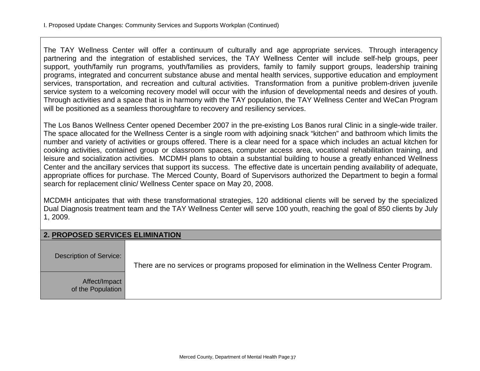The TAY Wellness Center will offer a continuum of culturally and age appropriate services. Through interagency partnering and the integration of established services, the TAY Wellness Center will include self-help groups, peer support, youth/family run programs, youth/families as providers, family to family support groups, leadership training programs, integrated and concurrent substance abuse and mental health services, supportive education and employment services, transportation, and recreation and cultural activities. Transformation from a punitive problem-driven juvenile service system to a welcoming recovery model will occur with the infusion of developmental needs and desires of youth. Through activities and a space that is in harmony with the TAY population, the TAY Wellness Center and WeCan Program will be positioned as a seamless thoroughfare to recovery and resiliency services.

The Los Banos Wellness Center opened December 2007 in the pre-existing Los Banos rural Clinic in a single-wide trailer. The space allocated for the Wellness Center is a single room with adjoining snack "kitchen" and bathroom which limits the number and variety of activities or groups offered. There is a clear need for a space which includes an actual kitchen for cooking activities, contained group or classroom spaces, computer access area, vocational rehabilitation training, and leisure and socialization activities. MCDMH plans to obtain a substantial building to house a greatly enhanced Wellness Center and the ancillary services that support its success. The effective date is uncertain pending availability of adequate, appropriate offices for purchase. The Merced County, Board of Supervisors authorized the Department to begin a formal search for replacement clinic/ Wellness Center space on May 20, 2008.

MCDMH anticipates that with these transformational strategies, 120 additional clients will be served by the specialized Dual Diagnosis treatment team and the TAY Wellness Center will serve 100 youth, reaching the goal of 850 clients by July 1, 2009.

### **2. PROPOSED SERVICES ELIMINATION**

| Description of Service:            | There are no services or programs proposed for elimination in the Wellness Center Program. |
|------------------------------------|--------------------------------------------------------------------------------------------|
| Affect/Impact<br>of the Population |                                                                                            |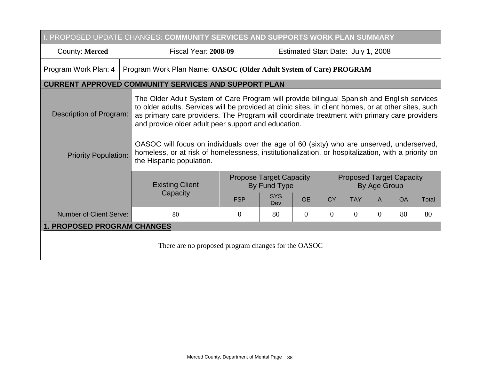| I. PROPOSED UPDATE CHANGES: COMMUNITY SERVICES AND SUPPORTS WORK PLAN SUMMARY |                                                                    |                                                                                                                                                                                                                                                                                                                                                           |                                                |                                    |                                                 |                |              |           |       |  |  |
|-------------------------------------------------------------------------------|--------------------------------------------------------------------|-----------------------------------------------------------------------------------------------------------------------------------------------------------------------------------------------------------------------------------------------------------------------------------------------------------------------------------------------------------|------------------------------------------------|------------------------------------|-------------------------------------------------|----------------|--------------|-----------|-------|--|--|
| County: Merced                                                                | <b>Fiscal Year: 2008-09</b>                                        |                                                                                                                                                                                                                                                                                                                                                           |                                                | Estimated Start Date: July 1, 2008 |                                                 |                |              |           |       |  |  |
| Program Work Plan: 4                                                          | Program Work Plan Name: OASOC (Older Adult System of Care) PROGRAM |                                                                                                                                                                                                                                                                                                                                                           |                                                |                                    |                                                 |                |              |           |       |  |  |
| <b>CURRENT APPROVED COMMUNITY SERVICES AND SUPPORT PLAN</b>                   |                                                                    |                                                                                                                                                                                                                                                                                                                                                           |                                                |                                    |                                                 |                |              |           |       |  |  |
| Description of Program:                                                       |                                                                    | The Older Adult System of Care Program will provide bilingual Spanish and English services<br>to older adults. Services will be provided at clinic sites, in client homes, or at other sites, such<br>as primary care providers. The Program will coordinate treatment with primary care providers<br>and provide older adult peer support and education. |                                                |                                    |                                                 |                |              |           |       |  |  |
| <b>Priority Population:</b>                                                   | the Hispanic population.                                           | OASOC will focus on individuals over the age of 60 (sixty) who are unserved, underserved,<br>homeless, or at risk of homelessness, institutionalization, or hospitalization, with a priority on                                                                                                                                                           |                                                |                                    |                                                 |                |              |           |       |  |  |
|                                                                               | <b>Existing Client</b>                                             |                                                                                                                                                                                                                                                                                                                                                           | <b>Propose Target Capacity</b><br>By Fund Type |                                    | <b>Proposed Target Capacity</b><br>By Age Group |                |              |           |       |  |  |
|                                                                               | Capacity                                                           | <b>FSP</b>                                                                                                                                                                                                                                                                                                                                                | <b>SYS</b><br>Dev                              | <b>OE</b>                          | <b>CY</b>                                       | <b>TAY</b>     | $\mathsf{A}$ | <b>OA</b> | Total |  |  |
| <b>Number of Client Serve:</b>                                                | 80                                                                 | $\theta$                                                                                                                                                                                                                                                                                                                                                  | 80                                             | $\overline{0}$                     | $\overline{0}$                                  | $\overline{0}$ | 0            | 80        | 80    |  |  |
| <b>1. PROPOSED PROGRAM CHANGES</b>                                            |                                                                    |                                                                                                                                                                                                                                                                                                                                                           |                                                |                                    |                                                 |                |              |           |       |  |  |
| There are no proposed program changes for the OASOC                           |                                                                    |                                                                                                                                                                                                                                                                                                                                                           |                                                |                                    |                                                 |                |              |           |       |  |  |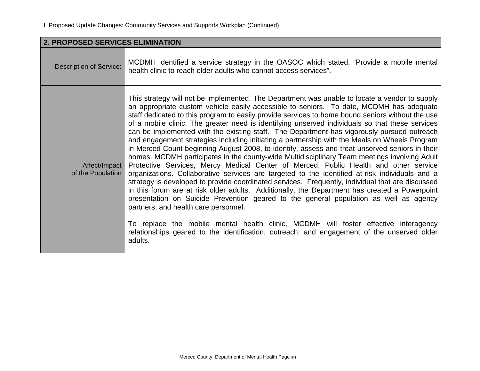| 2. PROPOSED SERVICES ELIMINATION   |                                                                                                                                                                                                                                                                                                                                                                                                                                                                                                                                                                                                                                                                                                                                                                                                                                                                                                                                                                                                                                                                                                                                                                                                                                                                                                                                                                                                                                                                                                                                  |
|------------------------------------|----------------------------------------------------------------------------------------------------------------------------------------------------------------------------------------------------------------------------------------------------------------------------------------------------------------------------------------------------------------------------------------------------------------------------------------------------------------------------------------------------------------------------------------------------------------------------------------------------------------------------------------------------------------------------------------------------------------------------------------------------------------------------------------------------------------------------------------------------------------------------------------------------------------------------------------------------------------------------------------------------------------------------------------------------------------------------------------------------------------------------------------------------------------------------------------------------------------------------------------------------------------------------------------------------------------------------------------------------------------------------------------------------------------------------------------------------------------------------------------------------------------------------------|
| <b>Description of Service:</b>     | MCDMH identified a service strategy in the OASOC which stated, "Provide a mobile mental<br>health clinic to reach older adults who cannot access services".                                                                                                                                                                                                                                                                                                                                                                                                                                                                                                                                                                                                                                                                                                                                                                                                                                                                                                                                                                                                                                                                                                                                                                                                                                                                                                                                                                      |
| Affect/Impact<br>of the Population | This strategy will not be implemented. The Department was unable to locate a vendor to supply<br>an appropriate custom vehicle easily accessible to seniors. To date, MCDMH has adequate<br>staff dedicated to this program to easily provide services to home bound seniors without the use<br>of a mobile clinic. The greater need is identifying unserved individuals so that these services<br>can be implemented with the existing staff. The Department has vigorously pursued outreach<br>and engagement strategies including initiating a partnership with the Meals on Wheels Program<br>in Merced Count beginning August 2008, to identify, assess and treat unserved seniors in their<br>homes. MCDMH participates in the county-wide Multidisciplinary Team meetings involving Adult<br>Protective Services, Mercy Medical Center of Merced, Public Health and other service<br>organizations. Collaborative services are targeted to the identified at-risk individuals and a<br>strategy is developed to provide coordinated services. Frequently, individual that are discussed<br>in this forum are at risk older adults. Additionally, the Department has created a Powerpoint<br>presentation on Suicide Prevention geared to the general population as well as agency<br>partners, and health care personnel.<br>To replace the mobile mental health clinic, MCDMH will foster effective interagency<br>relationships geared to the identification, outreach, and engagement of the unserved older<br>adults. |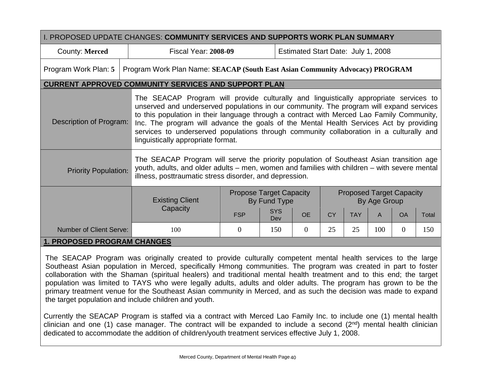| I. PROPOSED UPDATE CHANGES: COMMUNITY SERVICES AND SUPPORTS WORK PLAN SUMMARY |                                                                                                                                                                                                                                                                                                                                                                                                                                                                                                          |                                                |                   |                                    |           |            |              |                                 |       |  |
|-------------------------------------------------------------------------------|----------------------------------------------------------------------------------------------------------------------------------------------------------------------------------------------------------------------------------------------------------------------------------------------------------------------------------------------------------------------------------------------------------------------------------------------------------------------------------------------------------|------------------------------------------------|-------------------|------------------------------------|-----------|------------|--------------|---------------------------------|-------|--|
| County: Merced                                                                | <b>Fiscal Year: 2008-09</b>                                                                                                                                                                                                                                                                                                                                                                                                                                                                              |                                                |                   | Estimated Start Date: July 1, 2008 |           |            |              |                                 |       |  |
| Program Work Plan: 5                                                          | Program Work Plan Name: SEACAP (South East Asian Community Advocacy) PROGRAM                                                                                                                                                                                                                                                                                                                                                                                                                             |                                                |                   |                                    |           |            |              |                                 |       |  |
| <b>CURRENT APPROVED COMMUNITY SERVICES AND SUPPORT PLAN</b>                   |                                                                                                                                                                                                                                                                                                                                                                                                                                                                                                          |                                                |                   |                                    |           |            |              |                                 |       |  |
| Description of Program:                                                       | The SEACAP Program will provide culturally and linguistically appropriate services to<br>unserved and underserved populations in our community. The program will expand services<br>to this population in their language through a contract with Merced Lao Family Community,<br>Inc. The program will advance the goals of the Mental Health Services Act by providing<br>services to underserved populations through community collaboration in a culturally and<br>linguistically appropriate format. |                                                |                   |                                    |           |            |              |                                 |       |  |
| <b>Priority Population:</b>                                                   | The SEACAP Program will serve the priority population of Southeast Asian transition age<br>youth, adults, and older adults – men, women and families with children – with severe mental<br>illness, posttraumatic stress disorder, and depression.                                                                                                                                                                                                                                                       |                                                |                   |                                    |           |            |              |                                 |       |  |
|                                                                               | <b>Existing Client</b>                                                                                                                                                                                                                                                                                                                                                                                                                                                                                   | <b>Propose Target Capacity</b><br>By Fund Type |                   |                                    |           |            | By Age Group | <b>Proposed Target Capacity</b> |       |  |
|                                                                               | Capacity                                                                                                                                                                                                                                                                                                                                                                                                                                                                                                 | <b>FSP</b>                                     | <b>SYS</b><br>Dev | <b>OE</b>                          | <b>CY</b> | <b>TAY</b> | $\mathsf{A}$ | <b>OA</b>                       | Total |  |
| Number of Client Serve:                                                       | 100                                                                                                                                                                                                                                                                                                                                                                                                                                                                                                      | $\theta$                                       | 150               | $\overline{0}$                     | 25        | 25         | 100          | $\overline{0}$                  | 150   |  |
| 1. PROPOSED PROGRAM CHANGES                                                   |                                                                                                                                                                                                                                                                                                                                                                                                                                                                                                          |                                                |                   |                                    |           |            |              |                                 |       |  |

The SEACAP Program was originally created to provide culturally competent mental health services to the large Southeast Asian population in Merced, specifically Hmong communities. The program was created in part to foster collaboration with the Shaman (spiritual healers) and traditional mental health treatment and to this end; the target population was limited to TAYS who were legally adults, adults and older adults. The program has grown to be the primary treatment venue for the Southeast Asian community in Merced, and as such the decision was made to expand the target population and include children and youth.

Currently the SEACAP Program is staffed via a contract with Merced Lao Family Inc. to include one (1) mental health clinician and one (1) case manager. The contract will be expanded to include a second (2<sup>nd</sup>) mental health clinician dedicated to accommodate the addition of children/youth treatment services effective July 1, 2008.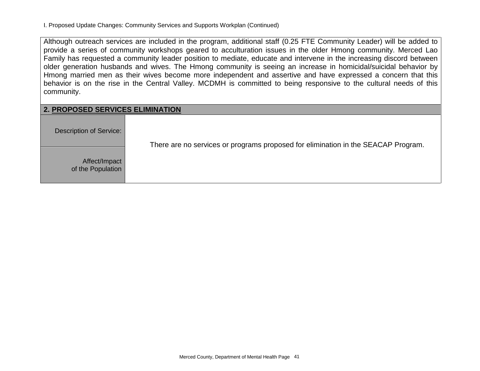Although outreach services are included in the program, additional staff (0.25 FTE Community Leader) will be added to provide a series of community workshops geared to acculturation issues in the older Hmong community. Merced Lao Family has requested a community leader position to mediate, educate and intervene in the increasing discord between older generation husbands and wives. The Hmong community is seeing an increase in homicidal/suicidal behavior by Hmong married men as their wives become more independent and assertive and have expressed a concern that this behavior is on the rise in the Central Valley. MCDMH is committed to being responsive to the cultural needs of this community.

| <b>2. PROPOSED SERVICES ELIMINATION</b> |                                                                                   |  |  |  |  |  |  |  |  |
|-----------------------------------------|-----------------------------------------------------------------------------------|--|--|--|--|--|--|--|--|
| Description of Service:                 | There are no services or programs proposed for elimination in the SEACAP Program. |  |  |  |  |  |  |  |  |
| Affect/Impact<br>of the Population      |                                                                                   |  |  |  |  |  |  |  |  |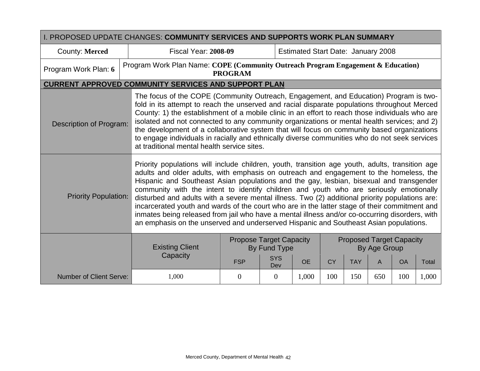| I. PROPOSED UPDATE CHANGES: <b>COMMUNITY SERVICES AND SUPPORTS WORK PLAN SUMMARY</b> |                                                                                                                                                                                                                                                                                                                                                                                                                                                                                                                                                                                                                                                                                                                                                                               |                                                                                                                                                                                                                                                                                                                                                                                                                                                                                                                                                                                                                                       |                   |                                           |           |            |              |                                 |       |
|--------------------------------------------------------------------------------------|-------------------------------------------------------------------------------------------------------------------------------------------------------------------------------------------------------------------------------------------------------------------------------------------------------------------------------------------------------------------------------------------------------------------------------------------------------------------------------------------------------------------------------------------------------------------------------------------------------------------------------------------------------------------------------------------------------------------------------------------------------------------------------|---------------------------------------------------------------------------------------------------------------------------------------------------------------------------------------------------------------------------------------------------------------------------------------------------------------------------------------------------------------------------------------------------------------------------------------------------------------------------------------------------------------------------------------------------------------------------------------------------------------------------------------|-------------------|-------------------------------------------|-----------|------------|--------------|---------------------------------|-------|
| County: Merced                                                                       | <b>Fiscal Year: 2008-09</b>                                                                                                                                                                                                                                                                                                                                                                                                                                                                                                                                                                                                                                                                                                                                                   |                                                                                                                                                                                                                                                                                                                                                                                                                                                                                                                                                                                                                                       |                   | <b>Estimated Start Date: January 2008</b> |           |            |              |                                 |       |
| Program Work Plan: 6                                                                 | Program Work Plan Name: COPE (Community Outreach Program Engagement & Education)<br><b>PROGRAM</b>                                                                                                                                                                                                                                                                                                                                                                                                                                                                                                                                                                                                                                                                            |                                                                                                                                                                                                                                                                                                                                                                                                                                                                                                                                                                                                                                       |                   |                                           |           |            |              |                                 |       |
|                                                                                      | <b>CURRENT APPROVED COMMUNITY SERVICES AND SUPPORT PLAN</b>                                                                                                                                                                                                                                                                                                                                                                                                                                                                                                                                                                                                                                                                                                                   |                                                                                                                                                                                                                                                                                                                                                                                                                                                                                                                                                                                                                                       |                   |                                           |           |            |              |                                 |       |
| <b>Description of Program:</b>                                                       |                                                                                                                                                                                                                                                                                                                                                                                                                                                                                                                                                                                                                                                                                                                                                                               | The focus of the COPE (Community Outreach, Engagement, and Education) Program is two-<br>fold in its attempt to reach the unserved and racial disparate populations throughout Merced<br>County: 1) the establishment of a mobile clinic in an effort to reach those individuals who are<br>isolated and not connected to any community organizations or mental health services; and 2)<br>the development of a collaborative system that will focus on community based organizations<br>to engage individuals in racially and ethnically diverse communities who do not seek services<br>at traditional mental health service sites. |                   |                                           |           |            |              |                                 |       |
| <b>Priority Population:</b>                                                          | Priority populations will include children, youth, transition age youth, adults, transition age<br>adults and older adults, with emphasis on outreach and engagement to the homeless, the<br>Hispanic and Southeast Asian populations and the gay, lesbian, bisexual and transgender<br>community with the intent to identify children and youth who are seriously emotionally<br>disturbed and adults with a severe mental illness. Two (2) additional priority populations are:<br>incarcerated youth and wards of the court who are in the latter stage of their commitment and<br>inmates being released from jail who have a mental illness and/or co-occurring disorders, with<br>an emphasis on the unserved and underserved Hispanic and Southeast Asian populations. |                                                                                                                                                                                                                                                                                                                                                                                                                                                                                                                                                                                                                                       |                   |                                           |           |            |              |                                 |       |
|                                                                                      | <b>Existing Client</b>                                                                                                                                                                                                                                                                                                                                                                                                                                                                                                                                                                                                                                                                                                                                                        | <b>Propose Target Capacity</b><br>By Fund Type                                                                                                                                                                                                                                                                                                                                                                                                                                                                                                                                                                                        |                   |                                           |           |            | By Age Group | <b>Proposed Target Capacity</b> |       |
|                                                                                      | Capacity                                                                                                                                                                                                                                                                                                                                                                                                                                                                                                                                                                                                                                                                                                                                                                      | <b>FSP</b>                                                                                                                                                                                                                                                                                                                                                                                                                                                                                                                                                                                                                            | <b>SYS</b><br>Dev | <b>OE</b>                                 | <b>CY</b> | <b>TAY</b> | A            | <b>OA</b>                       | Total |
| <b>Number of Client Serve:</b>                                                       | 1,000                                                                                                                                                                                                                                                                                                                                                                                                                                                                                                                                                                                                                                                                                                                                                                         | $\theta$                                                                                                                                                                                                                                                                                                                                                                                                                                                                                                                                                                                                                              | $\theta$          | 1,000                                     | 100       | 150        | 650          | 100                             | 1,000 |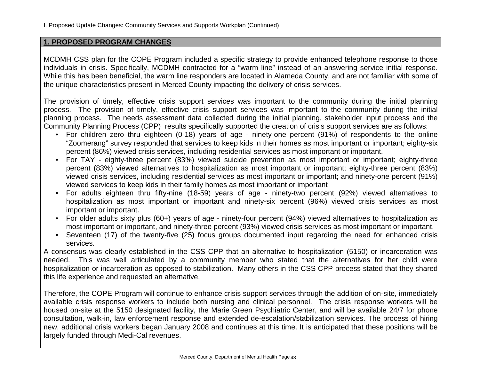### **1. PROPOSED PROGRAM CHANGES**

MCDMH CSS plan for the COPE Program included a specific strategy to provide enhanced telephone response to those individuals in crisis. Specifically, MCDMH contracted for a "warm line" instead of an answering service initial response. While this has been beneficial, the warm line responders are located in Alameda County, and are not familiar with some of the unique characteristics present in Merced County impacting the delivery of crisis services.

The provision of timely, effective crisis support services was important to the community during the initial planning process. The provision of timely, effective crisis support services was important to the community during the initial planning process. The needs assessment data collected during the initial planning, stakeholder input process and the Community Planning Process (CPP) results specifically supported the creation of crisis support services are as follows:

- For children zero thru eighteen (0-18) years of age ninety-one percent (91%) of respondents to the online "Zoomerang" survey responded that services to keep kids in their homes as most important or important; eighty-six percent (86%) viewed crisis services, including residential services as most important or important.
- For TAY eighty-three percent (83%) viewed suicide prevention as most important or important; eighty-three percent (83%) viewed alternatives to hospitalization as most important or important; eighty-three percent (83%) viewed crisis services, including residential services as most important or important; and ninety-one percent (91%) viewed services to keep kids in their family homes as most important or important
- For adults eighteen thru fifty-nine (18-59) years of age ninety-two percent (92%) viewed alternatives to hospitalization as most important or important and ninety-six percent (96%) viewed crisis services as most important or important.
- For older adults sixty plus (60+) years of age ninety-four percent (94%) viewed alternatives to hospitalization as most important or important, and ninety-three percent (93%) viewed crisis services as most important or important.
- Seventeen (17) of the twenty-five (25) focus groups documented input regarding the need for enhanced crisis services.

A consensus was clearly established in the CSS CPP that an alternative to hospitalization (5150) or incarceration was needed. This was well articulated by a community member who stated that the alternatives for her child were hospitalization or incarceration as opposed to stabilization. Many others in the CSS CPP process stated that they shared this life experience and requested an alternative.

Therefore, the COPE Program will continue to enhance crisis support services through the addition of on-site, immediately available crisis response workers to include both nursing and clinical personnel. The crisis response workers will be housed on-site at the 5150 designated facility, the Marie Green Psychiatric Center, and will be available 24/7 for phone consultation, walk-in, law enforcement response and extended de-escalation/stabilization services. The process of hiring new, additional crisis workers began January 2008 and continues at this time. It is anticipated that these positions will be largely funded through Medi-Cal revenues.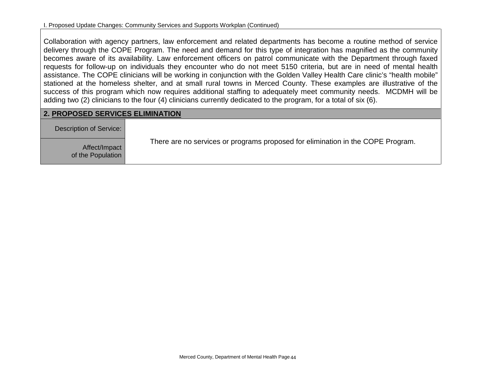Collaboration with agency partners, law enforcement and related departments has become a routine method of service delivery through the COPE Program. The need and demand for this type of integration has magnified as the community becomes aware of its availability. Law enforcement officers on patrol communicate with the Department through faxed requests for follow-up on individuals they encounter who do not meet 5150 criteria, but are in need of mental health assistance. The COPE clinicians will be working in conjunction with the Golden Valley Health Care clinic's "health mobile" stationed at the homeless shelter, and at small rural towns in Merced County. These examples are illustrative of the success of this program which now requires additional staffing to adequately meet community needs. MCDMH will be adding two (2) clinicians to the four (4) clinicians currently dedicated to the program, for a total of six (6).

## **2. PROPOSED SERVICES ELIMINATION**

| Description of Service:            |                                                                                 |
|------------------------------------|---------------------------------------------------------------------------------|
| Affect/Impact<br>of the Population | There are no services or programs proposed for elimination in the COPE Program. |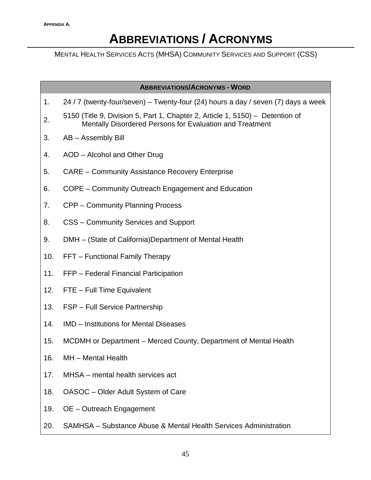# **ABBREVIATIONS / ACRONYMS**

MENTAL HEALTH SERVICES ACTS (MHSA) COMMUNITY SERVICES AND SUPPORT (CSS)

**ABBREVIATIONS/ACRONYMS - WORD**

- 1. 24 / 7 (twenty-four/seven) Twenty-four (24) hours a day / seven (7) days a week
- 2. 5150 (Title 9, Division 5, Part 1, Chapter 2, Article 1, 5150) Detention of Mentally Disordered Persons for Evaluation and Treatment
- 3. AB Assembly Bill
- 4. AOD Alcohol and Other Drug
- 5. CARE Community Assistance Recovery Enterprise
- 6. COPE Community Outreach Engagement and Education
- 7. CPP Community Planning Process
- 8. CSS Community Services and Support
- 9. DMH (State of California)Department of Mental Health
- 10. FFT Functional Family Therapy
- 11. FFP Federal Financial Participation
- 12. FTE Full Time Equivalent
- 13. FSP Full Service Partnership
- 14. IMD Institutions for Mental Diseases
- 15. MCDMH or Department Merced County, Department of Mental Health
- 16. MH Mental Health
- 17. MHSA mental health services act
- 18. OASOC Older Adult System of Care
- 19. OE Outreach Engagement
- 20. SAMHSA Substance Abuse & Mental Health Services Administration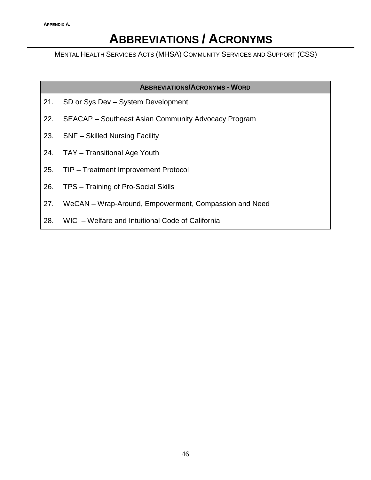# **ABBREVIATIONS / ACRONYMS**

MENTAL HEALTH SERVICES ACTS (MHSA) COMMUNITY SERVICES AND SUPPORT (CSS)

**ABBREVIATIONS/ACRONYMS - WORD**

- 21. SD or Sys Dev System Development
- 22. SEACAP Southeast Asian Community Advocacy Program
- 23. SNF Skilled Nursing Facility
- 24. TAY Transitional Age Youth
- 25. TIP Treatment Improvement Protocol
- 26. TPS Training of Pro-Social Skills
- 27. WeCAN Wrap-Around, Empowerment, Compassion and Need
- 28. WIC Welfare and Intuitional Code of California